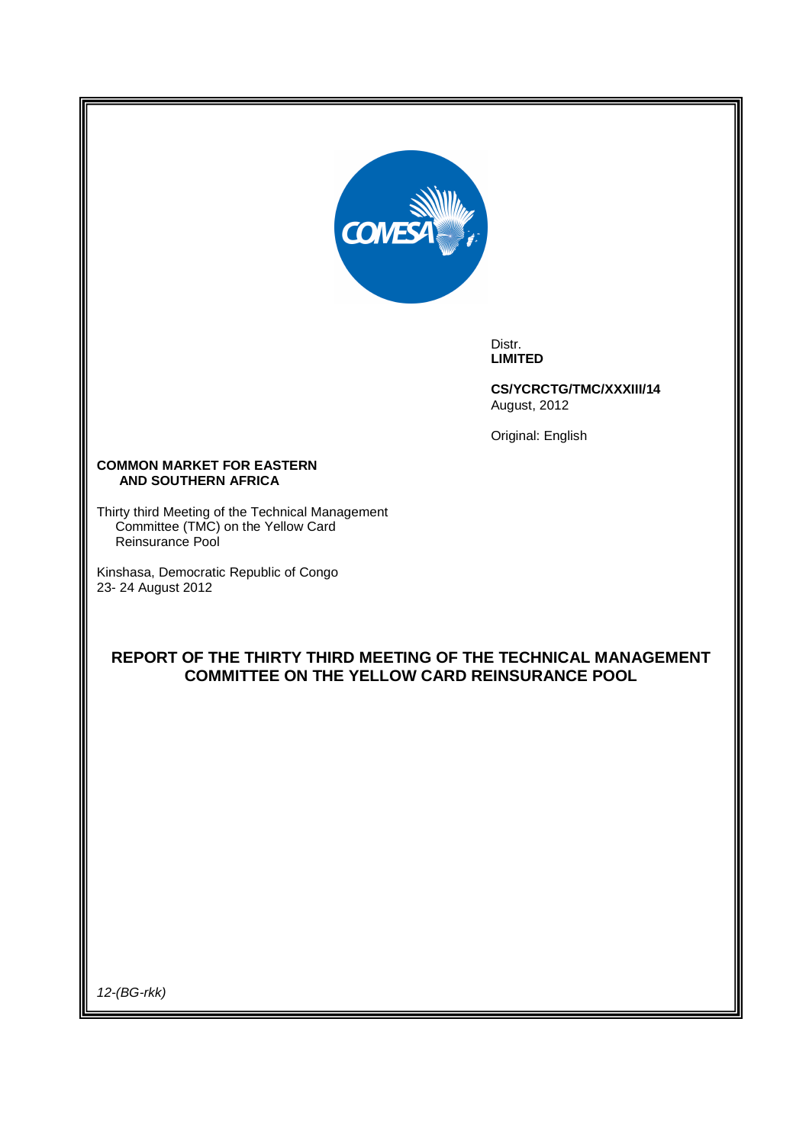

Distr. **LIMITED** 

**CS/YCRCTG/TMC/XXXIII/14**  August, 2012

Original: English

#### **COMMON MARKET FOR EASTERN AND SOUTHERN AFRICA**

Thirty third Meeting of the Technical Management Committee (TMC) on the Yellow Card Reinsurance Pool

Kinshasa, Democratic Republic of Congo 23- 24 August 2012

# **REPORT OF THE THIRTY THIRD MEETING OF THE TECHNICAL MANAGEMENT COMMITTEE ON THE YELLOW CARD REINSURANCE POOL**

12-(BG-rkk)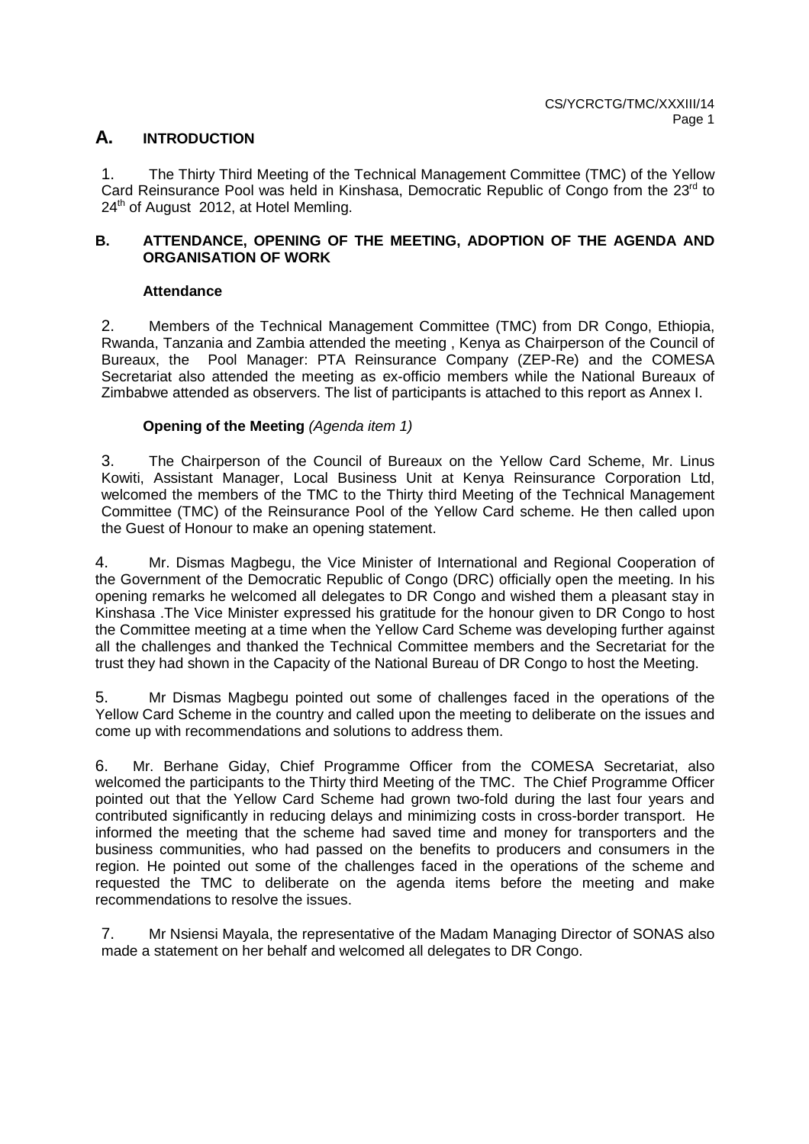# **A. INTRODUCTION**

1. The Thirty Third Meeting of the Technical Management Committee (TMC) of the Yellow Card Reinsurance Pool was held in Kinshasa, Democratic Republic of Congo from the 23<sup>rd</sup> to 24<sup>th</sup> of August 2012, at Hotel Memling.

# **B. ATTENDANCE, OPENING OF THE MEETING, ADOPTION OF THE AGENDA AND ORGANISATION OF WORK**

# **Attendance**

2. Members of the Technical Management Committee (TMC) from DR Congo, Ethiopia, Rwanda, Tanzania and Zambia attended the meeting , Kenya as Chairperson of the Council of Bureaux, the Pool Manager: PTA Reinsurance Company (ZEP-Re) and the COMESA Secretariat also attended the meeting as ex-officio members while the National Bureaux of Zimbabwe attended as observers. The list of participants is attached to this report as Annex I.

# **Opening of the Meeting (Agenda item 1)**

3. The Chairperson of the Council of Bureaux on the Yellow Card Scheme, Mr. Linus Kowiti, Assistant Manager, Local Business Unit at Kenya Reinsurance Corporation Ltd, welcomed the members of the TMC to the Thirty third Meeting of the Technical Management Committee (TMC) of the Reinsurance Pool of the Yellow Card scheme. He then called upon the Guest of Honour to make an opening statement.

4. Mr. Dismas Magbegu, the Vice Minister of International and Regional Cooperation of the Government of the Democratic Republic of Congo (DRC) officially open the meeting. In his opening remarks he welcomed all delegates to DR Congo and wished them a pleasant stay in Kinshasa .The Vice Minister expressed his gratitude for the honour given to DR Congo to host the Committee meeting at a time when the Yellow Card Scheme was developing further against all the challenges and thanked the Technical Committee members and the Secretariat for the trust they had shown in the Capacity of the National Bureau of DR Congo to host the Meeting.

5. Mr Dismas Magbegu pointed out some of challenges faced in the operations of the Yellow Card Scheme in the country and called upon the meeting to deliberate on the issues and come up with recommendations and solutions to address them.

6. Mr. Berhane Giday, Chief Programme Officer from the COMESA Secretariat, also welcomed the participants to the Thirty third Meeting of the TMC. The Chief Programme Officer pointed out that the Yellow Card Scheme had grown two-fold during the last four years and contributed significantly in reducing delays and minimizing costs in cross-border transport. He informed the meeting that the scheme had saved time and money for transporters and the business communities, who had passed on the benefits to producers and consumers in the region. He pointed out some of the challenges faced in the operations of the scheme and requested the TMC to deliberate on the agenda items before the meeting and make recommendations to resolve the issues.

7. Mr Nsiensi Mayala, the representative of the Madam Managing Director of SONAS also made a statement on her behalf and welcomed all delegates to DR Congo.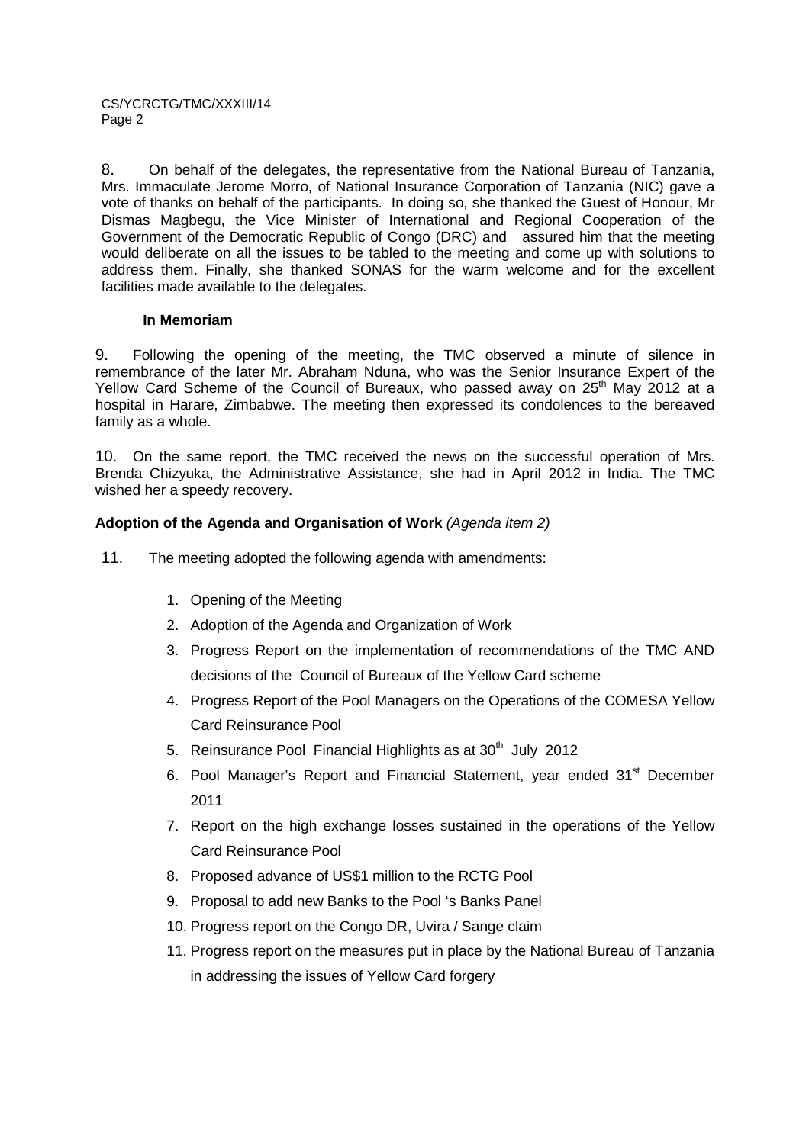8. On behalf of the delegates, the representative from the National Bureau of Tanzania, Mrs. Immaculate Jerome Morro, of National Insurance Corporation of Tanzania (NIC) gave a vote of thanks on behalf of the participants. In doing so, she thanked the Guest of Honour, Mr Dismas Magbegu, the Vice Minister of International and Regional Cooperation of the Government of the Democratic Republic of Congo (DRC) and assured him that the meeting would deliberate on all the issues to be tabled to the meeting and come up with solutions to address them. Finally, she thanked SONAS for the warm welcome and for the excellent facilities made available to the delegates.

# **In Memoriam**

9. Following the opening of the meeting, the TMC observed a minute of silence in remembrance of the later Mr. Abraham Nduna, who was the Senior Insurance Expert of the Yellow Card Scheme of the Council of Bureaux, who passed away on 25<sup>th</sup> May 2012 at a hospital in Harare, Zimbabwe. The meeting then expressed its condolences to the bereaved family as a whole.

10. On the same report, the TMC received the news on the successful operation of Mrs. Brenda Chizyuka, the Administrative Assistance, she had in April 2012 in India. The TMC wished her a speedy recovery.

# **Adoption of the Agenda and Organisation of Work** (Agenda item 2)

- 11. The meeting adopted the following agenda with amendments:
	- 1. Opening of the Meeting
	- 2. Adoption of the Agenda and Organization of Work
	- 3. Progress Report on the implementation of recommendations of the TMC AND decisions of the Council of Bureaux of the Yellow Card scheme
	- 4. Progress Report of the Pool Managers on the Operations of the COMESA Yellow Card Reinsurance Pool
	- 5. Reinsurance Pool Financial Highlights as at  $30<sup>th</sup>$  July 2012
	- 6. Pool Manager's Report and Financial Statement, year ended 31<sup>st</sup> December 2011
	- 7. Report on the high exchange losses sustained in the operations of the Yellow Card Reinsurance Pool
	- 8. Proposed advance of US\$1 million to the RCTG Pool
	- 9. Proposal to add new Banks to the Pool 's Banks Panel
	- 10. Progress report on the Congo DR, Uvira / Sange claim
	- 11. Progress report on the measures put in place by the National Bureau of Tanzania in addressing the issues of Yellow Card forgery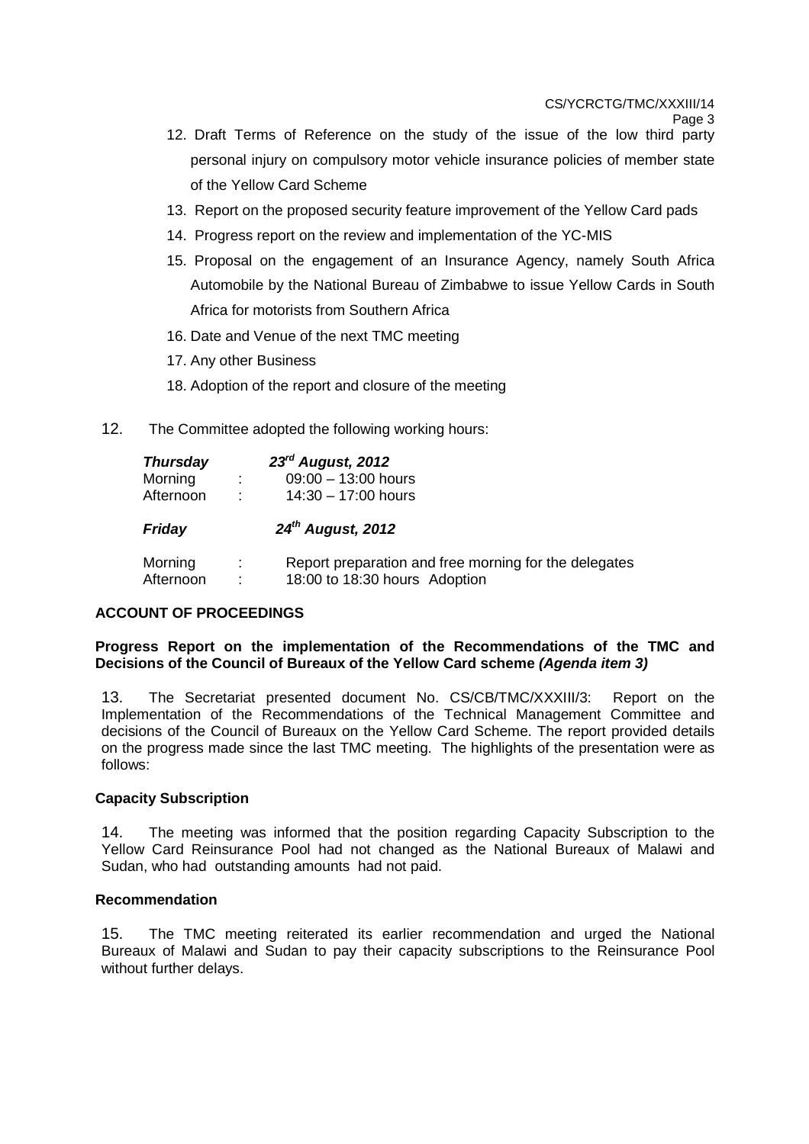CS/YCRCTG/TMC/XXXIII/14

- 12. Draft Terms of Reference on the study of the issue of the low third party personal injury on compulsory motor vehicle insurance policies of member state of the Yellow Card Scheme
- 13. Report on the proposed security feature improvement of the Yellow Card pads
- 14. Progress report on the review and implementation of the YC-MIS
- 15. Proposal on the engagement of an Insurance Agency, namely South Africa Automobile by the National Bureau of Zimbabwe to issue Yellow Cards in South Africa for motorists from Southern Africa
- 16. Date and Venue of the next TMC meeting
- 17. Any other Business
- 18. Adoption of the report and closure of the meeting
- 12. The Committee adopted the following working hours:

| <b>Thursday</b>      |                           | 23rd August, 2012                                                                      |
|----------------------|---------------------------|----------------------------------------------------------------------------------------|
| Morning              | ÷                         | $09:00 - 13:00$ hours                                                                  |
| Afternoon            | ÷                         | $14:30 - 17:00$ hours                                                                  |
| <b>Friday</b>        |                           | 24 <sup>th</sup> August, 2012                                                          |
| Morning<br>Afternoon | ÷<br>$\ddot{\phantom{a}}$ | Report preparation and free morning for the delegates<br>18:00 to 18:30 hours Adoption |

# **ACCOUNT OF PROCEEDINGS**

# **Progress Report on the implementation of the Recommendations of the TMC and Decisions of the Council of Bureaux of the Yellow Card scheme (Agenda item 3)**

13. The Secretariat presented document No. CS/CB/TMC/XXXIII/3: Report on the Implementation of the Recommendations of the Technical Management Committee and decisions of the Council of Bureaux on the Yellow Card Scheme. The report provided details on the progress made since the last TMC meeting. The highlights of the presentation were as follows:

# **Capacity Subscription**

14. The meeting was informed that the position regarding Capacity Subscription to the Yellow Card Reinsurance Pool had not changed as the National Bureaux of Malawi and Sudan, who had outstanding amounts had not paid.

# **Recommendation**

15. The TMC meeting reiterated its earlier recommendation and urged the National Bureaux of Malawi and Sudan to pay their capacity subscriptions to the Reinsurance Pool without further delays.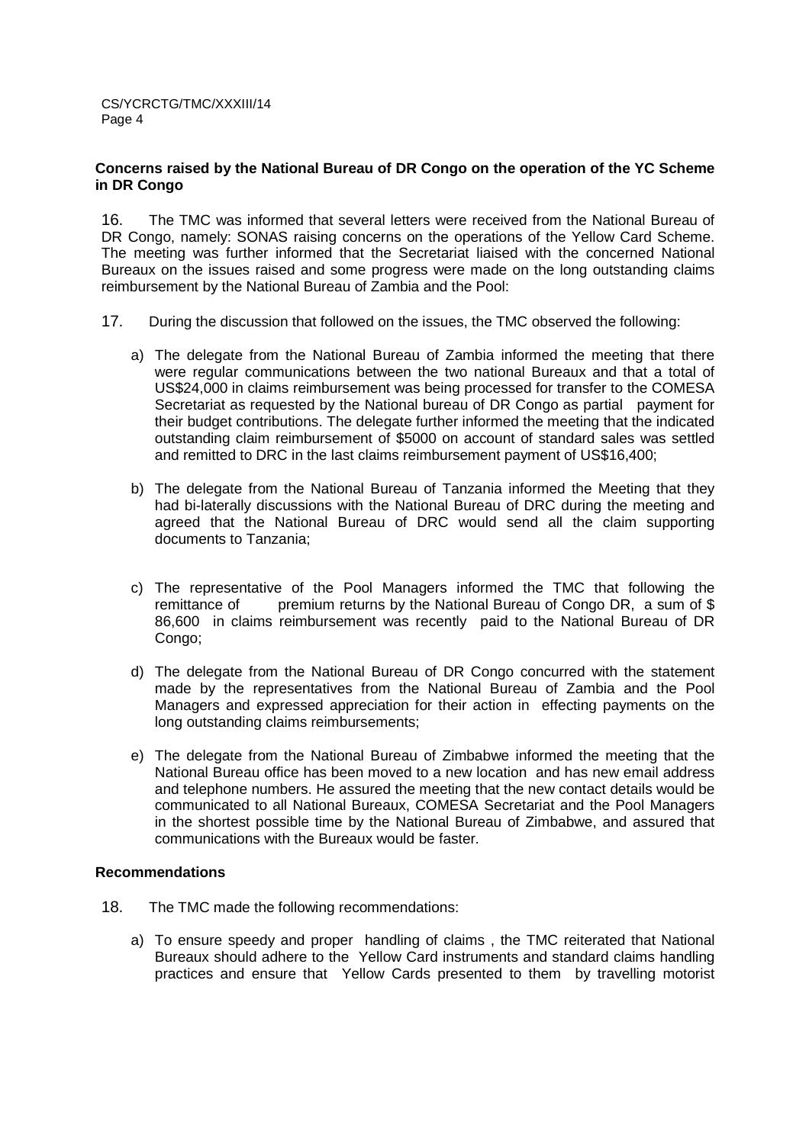#### **Concerns raised by the National Bureau of DR Congo on the operation of the YC Scheme in DR Congo**

16. The TMC was informed that several letters were received from the National Bureau of DR Congo, namely: SONAS raising concerns on the operations of the Yellow Card Scheme. The meeting was further informed that the Secretariat liaised with the concerned National Bureaux on the issues raised and some progress were made on the long outstanding claims reimbursement by the National Bureau of Zambia and the Pool:

- 17. During the discussion that followed on the issues, the TMC observed the following:
	- a) The delegate from the National Bureau of Zambia informed the meeting that there were regular communications between the two national Bureaux and that a total of US\$24,000 in claims reimbursement was being processed for transfer to the COMESA Secretariat as requested by the National bureau of DR Congo as partial payment for their budget contributions. The delegate further informed the meeting that the indicated outstanding claim reimbursement of \$5000 on account of standard sales was settled and remitted to DRC in the last claims reimbursement payment of US\$16,400;
	- b) The delegate from the National Bureau of Tanzania informed the Meeting that they had bi-laterally discussions with the National Bureau of DRC during the meeting and agreed that the National Bureau of DRC would send all the claim supporting documents to Tanzania;
	- c) The representative of the Pool Managers informed the TMC that following the remittance of premium returns by the National Bureau of Congo DR, a sum of \$ 86,600 in claims reimbursement was recently paid to the National Bureau of DR Congo;
	- d) The delegate from the National Bureau of DR Congo concurred with the statement made by the representatives from the National Bureau of Zambia and the Pool Managers and expressed appreciation for their action in effecting payments on the long outstanding claims reimbursements;
	- e) The delegate from the National Bureau of Zimbabwe informed the meeting that the National Bureau office has been moved to a new location and has new email address and telephone numbers. He assured the meeting that the new contact details would be communicated to all National Bureaux, COMESA Secretariat and the Pool Managers in the shortest possible time by the National Bureau of Zimbabwe, and assured that communications with the Bureaux would be faster.

## **Recommendations**

- 18. The TMC made the following recommendations:
	- a) To ensure speedy and proper handling of claims , the TMC reiterated that National Bureaux should adhere to the Yellow Card instruments and standard claims handling practices and ensure that Yellow Cards presented to them by travelling motorist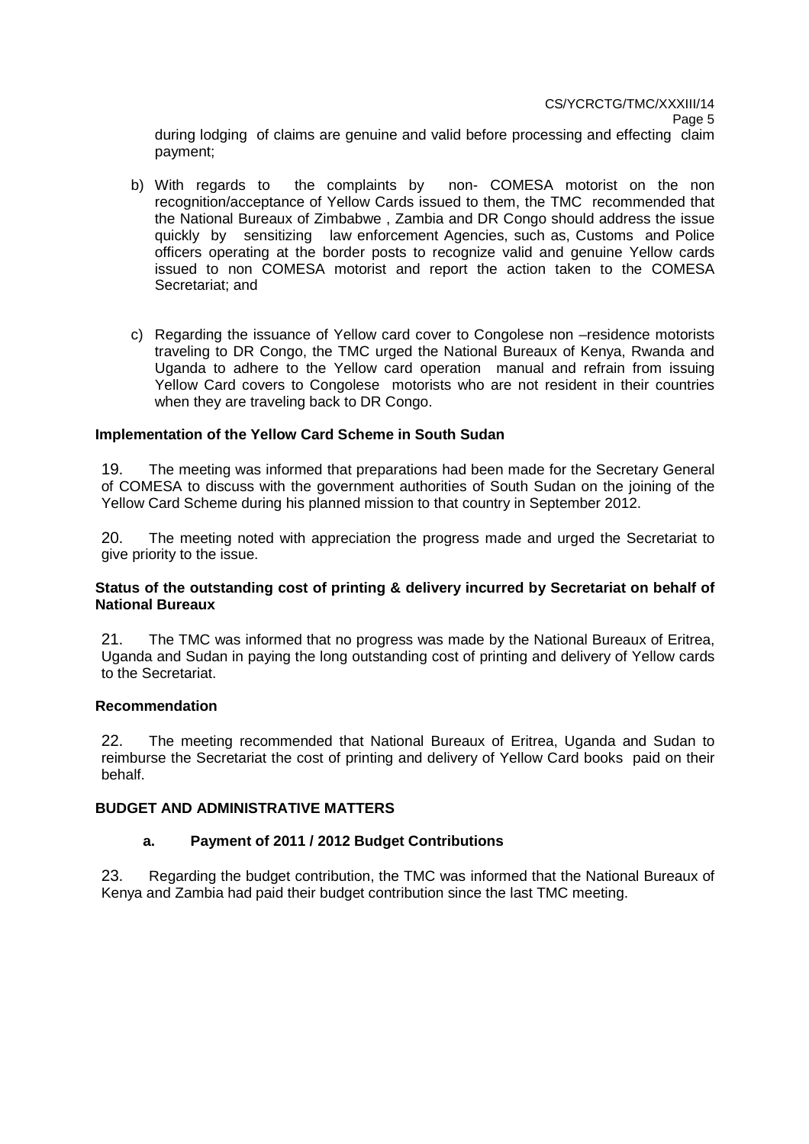during lodging of claims are genuine and valid before processing and effecting claim payment;

- b) With regards to the complaints by non- COMESA motorist on the non recognition/acceptance of Yellow Cards issued to them, the TMC recommended that the National Bureaux of Zimbabwe , Zambia and DR Congo should address the issue quickly by sensitizing law enforcement Agencies, such as, Customs and Police officers operating at the border posts to recognize valid and genuine Yellow cards issued to non COMESA motorist and report the action taken to the COMESA Secretariat; and
- c) Regarding the issuance of Yellow card cover to Congolese non –residence motorists traveling to DR Congo, the TMC urged the National Bureaux of Kenya, Rwanda and Uganda to adhere to the Yellow card operation manual and refrain from issuing Yellow Card covers to Congolese motorists who are not resident in their countries when they are traveling back to DR Congo.

#### **Implementation of the Yellow Card Scheme in South Sudan**

19. The meeting was informed that preparations had been made for the Secretary General of COMESA to discuss with the government authorities of South Sudan on the joining of the Yellow Card Scheme during his planned mission to that country in September 2012.

20. The meeting noted with appreciation the progress made and urged the Secretariat to give priority to the issue.

# **Status of the outstanding cost of printing & delivery incurred by Secretariat on behalf of National Bureaux**

21. The TMC was informed that no progress was made by the National Bureaux of Eritrea, Uganda and Sudan in paying the long outstanding cost of printing and delivery of Yellow cards to the Secretariat.

#### **Recommendation**

22. The meeting recommended that National Bureaux of Eritrea, Uganda and Sudan to reimburse the Secretariat the cost of printing and delivery of Yellow Card books paid on their behalf.

#### **BUDGET AND ADMINISTRATIVE MATTERS**

#### **a. Payment of 2011 / 2012 Budget Contributions**

23. Regarding the budget contribution, the TMC was informed that the National Bureaux of Kenya and Zambia had paid their budget contribution since the last TMC meeting.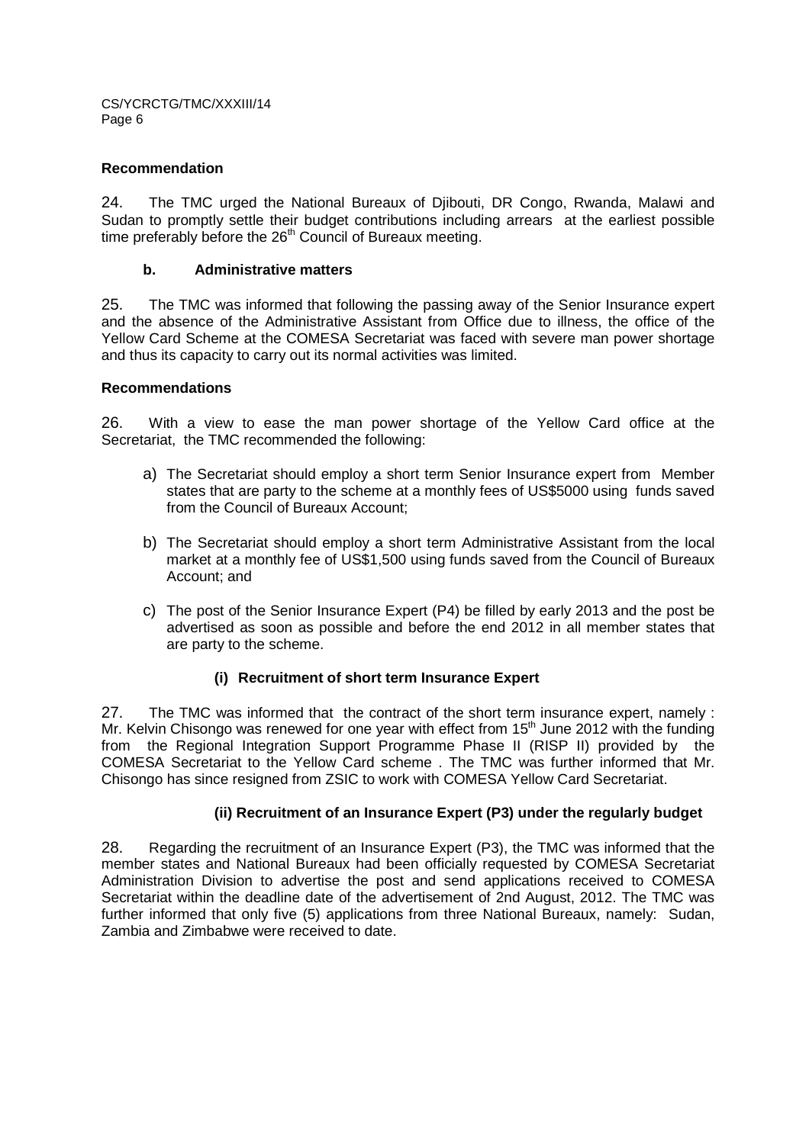# **Recommendation**

24. The TMC urged the National Bureaux of Djibouti, DR Congo, Rwanda, Malawi and Sudan to promptly settle their budget contributions including arrears at the earliest possible time preferably before the 26<sup>th</sup> Council of Bureaux meeting.

# **b. Administrative matters**

25. The TMC was informed that following the passing away of the Senior Insurance expert and the absence of the Administrative Assistant from Office due to illness, the office of the Yellow Card Scheme at the COMESA Secretariat was faced with severe man power shortage and thus its capacity to carry out its normal activities was limited.

# **Recommendations**

26. With a view to ease the man power shortage of the Yellow Card office at the Secretariat, the TMC recommended the following:

- a) The Secretariat should employ a short term Senior Insurance expert from Member states that are party to the scheme at a monthly fees of US\$5000 using funds saved from the Council of Bureaux Account;
- b) The Secretariat should employ a short term Administrative Assistant from the local market at a monthly fee of US\$1,500 using funds saved from the Council of Bureaux Account; and
- c) The post of the Senior Insurance Expert (P4) be filled by early 2013 and the post be advertised as soon as possible and before the end 2012 in all member states that are party to the scheme.

# **(i) Recruitment of short term Insurance Expert**

27. The TMC was informed that the contract of the short term insurance expert, namely : Mr. Kelvin Chisongo was renewed for one year with effect from  $15<sup>th</sup>$  June 2012 with the funding from the Regional Integration Support Programme Phase II (RISP II) provided by the COMESA Secretariat to the Yellow Card scheme . The TMC was further informed that Mr. Chisongo has since resigned from ZSIC to work with COMESA Yellow Card Secretariat.

#### **(ii) Recruitment of an Insurance Expert (P3) under the regularly budget**

28. Regarding the recruitment of an Insurance Expert (P3), the TMC was informed that the member states and National Bureaux had been officially requested by COMESA Secretariat Administration Division to advertise the post and send applications received to COMESA Secretariat within the deadline date of the advertisement of 2nd August, 2012. The TMC was further informed that only five (5) applications from three National Bureaux, namely: Sudan, Zambia and Zimbabwe were received to date.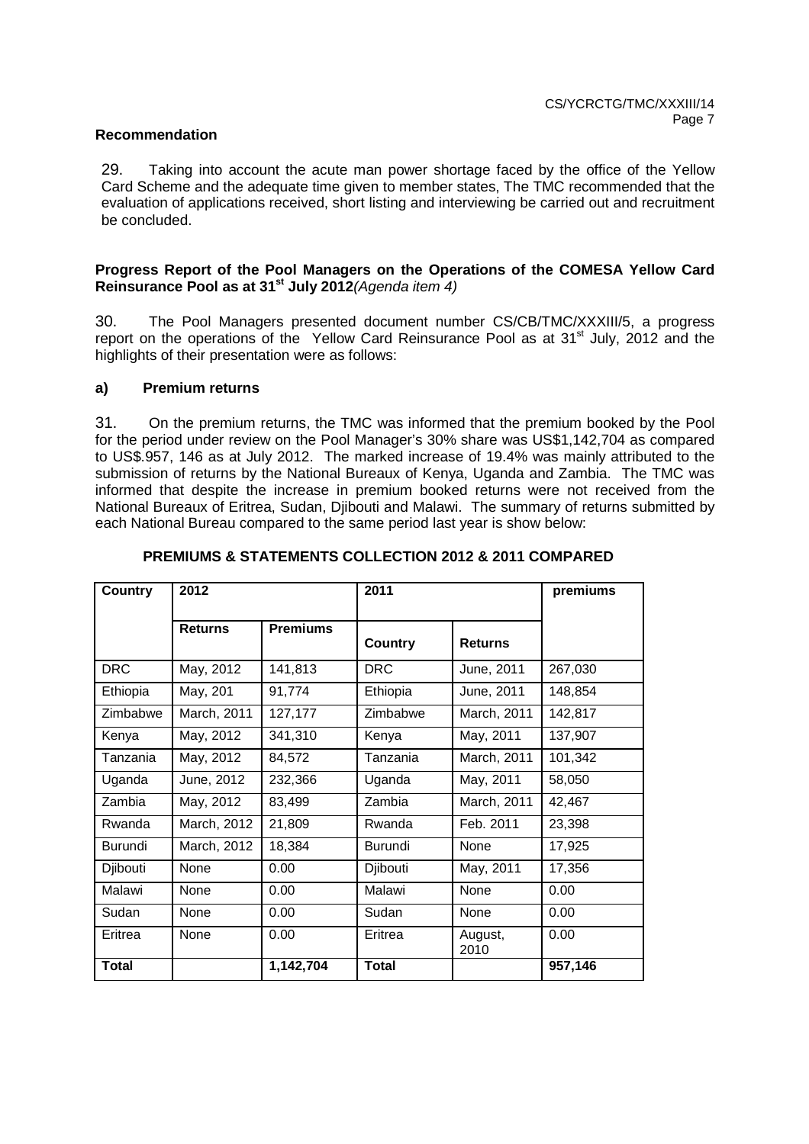#### **Recommendation**

29. Taking into account the acute man power shortage faced by the office of the Yellow Card Scheme and the adequate time given to member states, The TMC recommended that the evaluation of applications received, short listing and interviewing be carried out and recruitment be concluded.

#### **Progress Report of the Pool Managers on the Operations of the COMESA Yellow Card Reinsurance Pool as at 31st July 2012**(Agenda item 4)

30. The Pool Managers presented document number CS/CB/TMC/XXXIII/5, a progress report on the operations of the Yellow Card Reinsurance Pool as at 31<sup>st</sup> July, 2012 and the highlights of their presentation were as follows:

# **a) Premium returns**

31. On the premium returns, the TMC was informed that the premium booked by the Pool for the period under review on the Pool Manager's 30% share was US\$1,142,704 as compared to US\$.957, 146 as at July 2012. The marked increase of 19.4% was mainly attributed to the submission of returns by the National Bureaux of Kenya, Uganda and Zambia. The TMC was informed that despite the increase in premium booked returns were not received from the National Bureaux of Eritrea, Sudan, Djibouti and Malawi. The summary of returns submitted by each National Bureau compared to the same period last year is show below:

| Country      | 2012           |                 | 2011           |                 | premiums |
|--------------|----------------|-----------------|----------------|-----------------|----------|
|              | <b>Returns</b> | <b>Premiums</b> | <b>Country</b> | <b>Returns</b>  |          |
| <b>DRC</b>   | May, 2012      | 141,813         | <b>DRC</b>     | June, 2011      | 267,030  |
| Ethiopia     | May, 201       | 91,774          | Ethiopia       | June, 2011      | 148,854  |
| Zimbabwe     | March, 2011    | 127,177         | Zimbabwe       | March, 2011     | 142,817  |
| Kenya        | May, 2012      | 341,310         | Kenya          | May, 2011       | 137,907  |
| Tanzania     | May, 2012      | 84,572          | Tanzania       | March, 2011     | 101,342  |
| Uganda       | June, 2012     | 232,366         | Uganda         | May, 2011       | 58,050   |
| Zambia       | May, 2012      | 83,499          | Zambia         | March, 2011     | 42,467   |
| Rwanda       | March, 2012    | 21,809          | Rwanda         | Feb. 2011       | 23,398   |
| Burundi      | March, 2012    | 18,384          | Burundi        | None            | 17,925   |
| Djibouti     | None           | 0.00            | Djibouti       | May, 2011       | 17,356   |
| Malawi       | None           | 0.00            | Malawi         | None            | 0.00     |
| Sudan        | None           | 0.00            | Sudan          | None            | 0.00     |
| Eritrea      | None           | 0.00            | Eritrea        | August,<br>2010 | 0.00     |
| <b>Total</b> |                | 1,142,704       | <b>Total</b>   |                 | 957,146  |

# **PREMIUMS & STATEMENTS COLLECTION 2012 & 2011 COMPARED**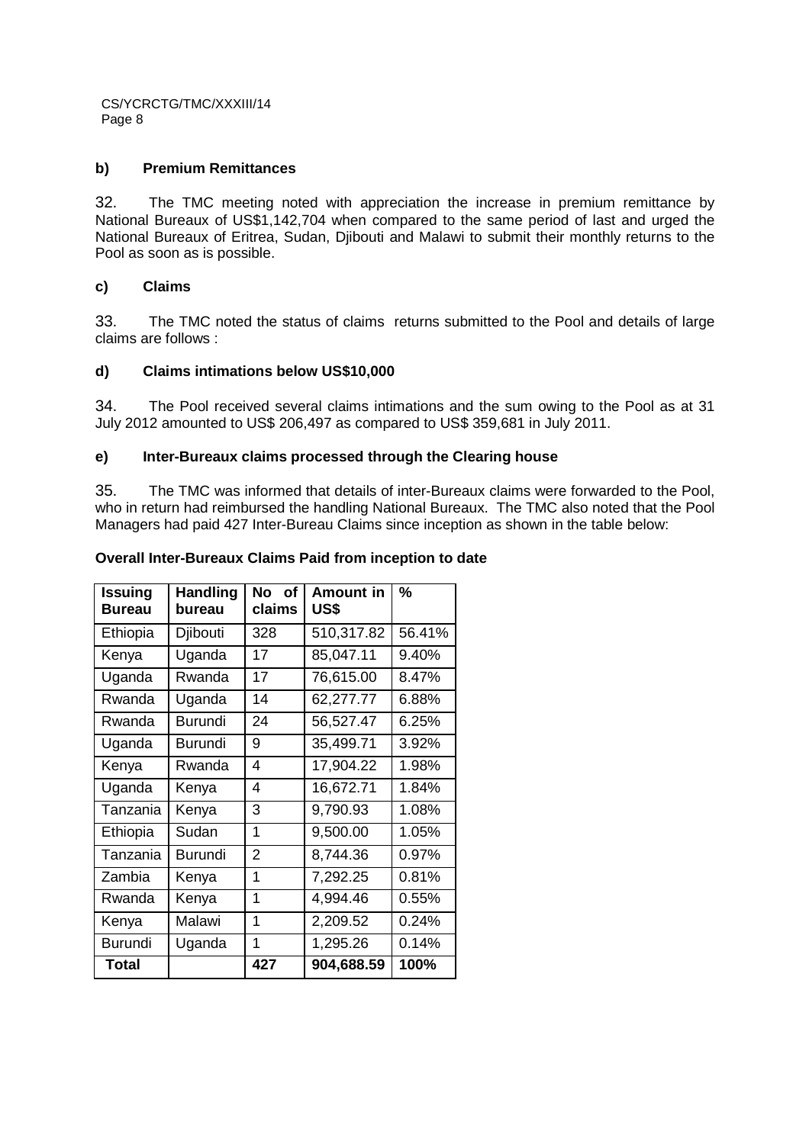# **b) Premium Remittances**

32. The TMC meeting noted with appreciation the increase in premium remittance by National Bureaux of US\$1,142,704 when compared to the same period of last and urged the National Bureaux of Eritrea, Sudan, Diibouti and Malawi to submit their monthly returns to the Pool as soon as is possible.

# **c) Claims**

33. The TMC noted the status of claims returns submitted to the Pool and details of large claims are follows :

# **d) Claims intimations below US\$10,000**

34. The Pool received several claims intimations and the sum owing to the Pool as at 31 July 2012 amounted to US\$ 206,497 as compared to US\$ 359,681 in July 2011.

# **e) Inter-Bureaux claims processed through the Clearing house**

35. The TMC was informed that details of inter-Bureaux claims were forwarded to the Pool, who in return had reimbursed the handling National Bureaux. The TMC also noted that the Pool Managers had paid 427 Inter-Bureau Claims since inception as shown in the table below:

#### **Issuing Bureau Handling bureau No of claims Amount in US\$ %** Ethiopia | Djibouti | 328 | 510,317.82 | 56.41% Kenya | Uganda | 17 | 85,047.11 | 9.40% Uganda | Rwanda | 17 | 76,615.00 | 8.47%

**Overall Inter-Bureaux Claims Paid from inception to date** 

| вureau         | pureau         | ciaims         | บวง        |          |
|----------------|----------------|----------------|------------|----------|
| Ethiopia       | Djibouti       | 328            | 510,317.82 | 56.41%   |
| Kenya          | Uganda         | 17             | 85,047.11  | 9.40%    |
| Uganda         | Rwanda         | 17             | 76,615.00  | 8.47%    |
| Rwanda         | Uganda         | 14             | 62,277.77  | 6.88%    |
| Rwanda         | <b>Burundi</b> | 24             | 56,527.47  | 6.25%    |
| Uganda         | Burundi        | 9              | 35,499.71  | 3.92%    |
| Kenya          | Rwanda         | 4              | 17,904.22  | 1.98%    |
| Uganda         | Kenya          | 4              | 16,672.71  | 1.84%    |
| Tanzania       | Kenya          | 3              | 9,790.93   | 1.08%    |
| Ethiopia       | Sudan          | 1              | 9,500.00   | 1.05%    |
| Tanzania       | <b>Burundi</b> | $\overline{2}$ | 8,744.36   | 0.97%    |
| Zambia         | Kenya          | 1              | 7,292.25   | 0.81%    |
| Rwanda         | Kenya          | 1              | 4,994.46   | $0.55\%$ |
| Kenya          | Malawi         | 1              | 2,209.52   | 0.24%    |
| <b>Burundi</b> | Uganda         | 1              | 1,295.26   | 0.14%    |
| <b>Total</b>   |                | 427            | 904,688.59 | 100%     |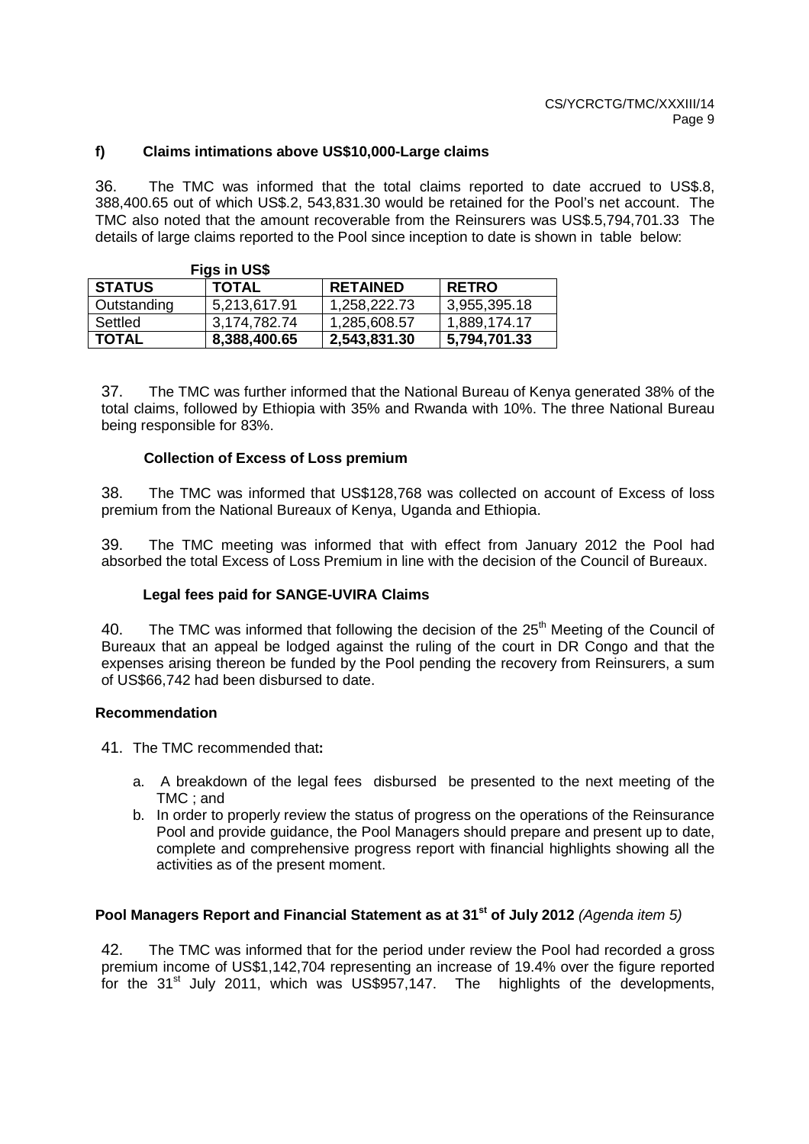# **f) Claims intimations above US\$10,000-Large claims**

36. The TMC was informed that the total claims reported to date accrued to US\$.8, 388,400.65 out of which US\$.2, 543,831.30 would be retained for the Pool's net account. The TMC also noted that the amount recoverable from the Reinsurers was US\$.5,794,701.33 The details of large claims reported to the Pool since inception to date is shown in table below:

|               | Figs in US\$ |                 |              |
|---------------|--------------|-----------------|--------------|
| <b>STATUS</b> | <b>TOTAL</b> | <b>RETAINED</b> | I RETRO      |
| Outstanding   | 5,213,617.91 | 1,258,222.73    | 3,955,395.18 |
| Settled       | 3,174,782.74 | 1,285,608.57    | 1,889,174.17 |
| <b>TOTAL</b>  | 8,388,400.65 | 2,543,831.30    | 5,794,701.33 |

37. The TMC was further informed that the National Bureau of Kenya generated 38% of the total claims, followed by Ethiopia with 35% and Rwanda with 10%. The three National Bureau being responsible for 83%.

#### **Collection of Excess of Loss premium**

38. The TMC was informed that US\$128,768 was collected on account of Excess of loss premium from the National Bureaux of Kenya, Uganda and Ethiopia.

39. The TMC meeting was informed that with effect from January 2012 the Pool had absorbed the total Excess of Loss Premium in line with the decision of the Council of Bureaux.

#### **Legal fees paid for SANGE-UVIRA Claims**

40. The TMC was informed that following the decision of the  $25<sup>th</sup>$  Meeting of the Council of Bureaux that an appeal be lodged against the ruling of the court in DR Congo and that the expenses arising thereon be funded by the Pool pending the recovery from Reinsurers, a sum of US\$66,742 had been disbursed to date.

#### **Recommendation**

41. The TMC recommended that**:** 

- a. A breakdown of the legal fees disbursed be presented to the next meeting of the TMC ; and
- b. In order to properly review the status of progress on the operations of the Reinsurance Pool and provide guidance, the Pool Managers should prepare and present up to date, complete and comprehensive progress report with financial highlights showing all the activities as of the present moment.

#### **Pool Managers Report and Financial Statement as at 31st of July 2012** (Agenda item 5)

42. The TMC was informed that for the period under review the Pool had recorded a gross premium income of US\$1,142,704 representing an increase of 19.4% over the figure reported for the 31<sup>st</sup> July 2011, which was US\$957,147. The highlights of the developments,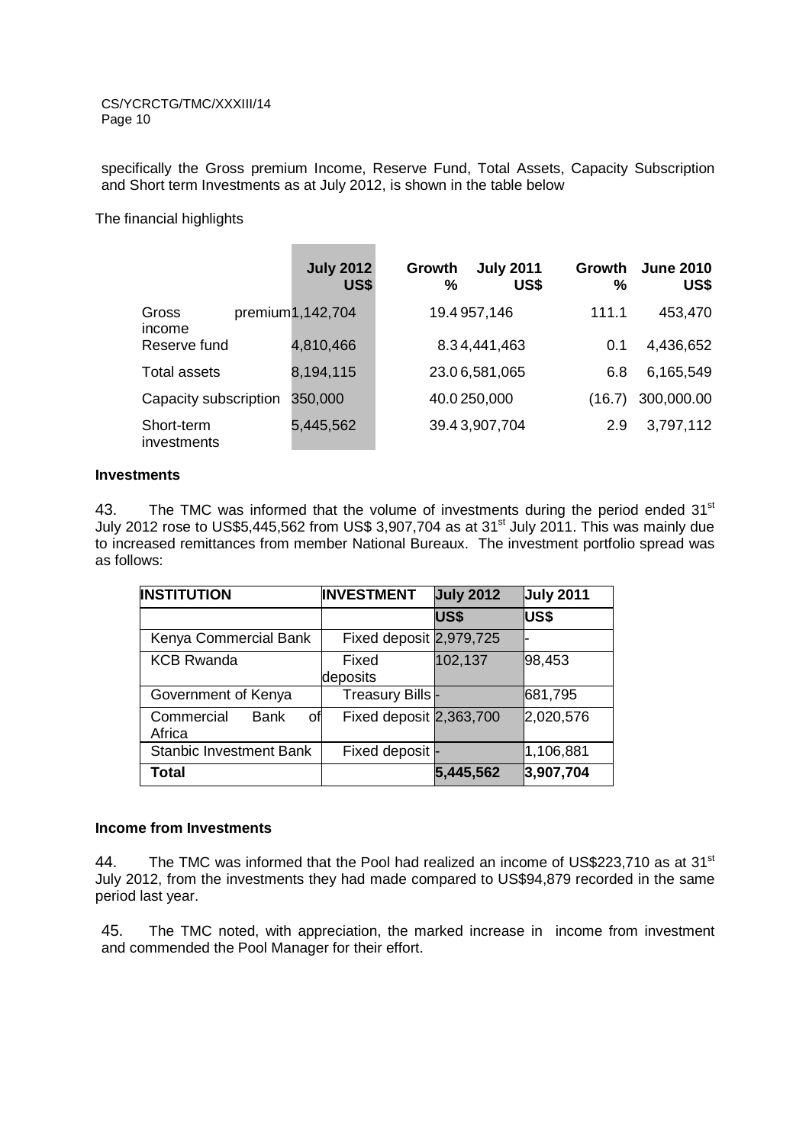specifically the Gross premium Income, Reserve Fund, Total Assets, Capacity Subscription and Short term Investments as at July 2012, is shown in the table below

**Contract Contract Contract** 

The financial highlights

|                           | <b>July 2012</b><br>US\$ | Growth<br>$\frac{0}{0}$ | <b>July 2011</b><br>US\$ | Growth<br>$\%$ | <b>June 2010</b><br>US\$ |
|---------------------------|--------------------------|-------------------------|--------------------------|----------------|--------------------------|
| Gross<br>income           | premium1,142,704         |                         | 19.4 957,146             | 111.1          | 453,470                  |
| Reserve fund              | 4,810,466                |                         | 8.34,441,463             | 0.1            | 4,436,652                |
| Total assets              | 8,194,115                |                         | 23.06,581,065            | 6.8            | 6,165,549                |
| Capacity subscription     | 350,000                  |                         | 40.0250,000              | (16.7)         | 300,000.00               |
| Short-term<br>investments | 5,445,562                |                         | 39.43,907,704            | 2.9            | 3,797,112                |

#### **Investments**

43. The TMC was informed that the volume of investments during the period ended  $31<sup>st</sup>$ July 2012 rose to US\$5,445,562 from US\$ 3,907,704 as at 31<sup>st</sup> July 2011. This was mainly due to increased remittances from member National Bureaux. The investment portfolio spread was as follows:

| <b>INSTITUTION</b>                        | <b>INVESTMENT</b>       | <b>July 2012</b> | <b>July 2011</b> |
|-------------------------------------------|-------------------------|------------------|------------------|
|                                           |                         | US\$             | US\$             |
| Kenya Commercial Bank                     | Fixed deposit 2,979,725 |                  |                  |
| <b>KCB Rwanda</b>                         | Fixed<br>deposits       | 102,137          | 98,453           |
| Government of Kenya                       | Treasury Bills-         |                  | 681,795          |
| Commercial<br><b>Bank</b><br>οf<br>Africa | Fixed deposit 2,363,700 |                  | 2,020,576        |
| <b>Stanbic Investment Bank</b>            | Fixed deposit -         |                  | 1,106,881        |
| <b>Total</b>                              |                         | 5,445,562        | 3,907,704        |

# **Income from Investments**

44. The TMC was informed that the Pool had realized an income of US\$223,710 as at 31<sup>st</sup> July 2012, from the investments they had made compared to US\$94,879 recorded in the same period last year.

45. The TMC noted, with appreciation, the marked increase in income from investment and commended the Pool Manager for their effort.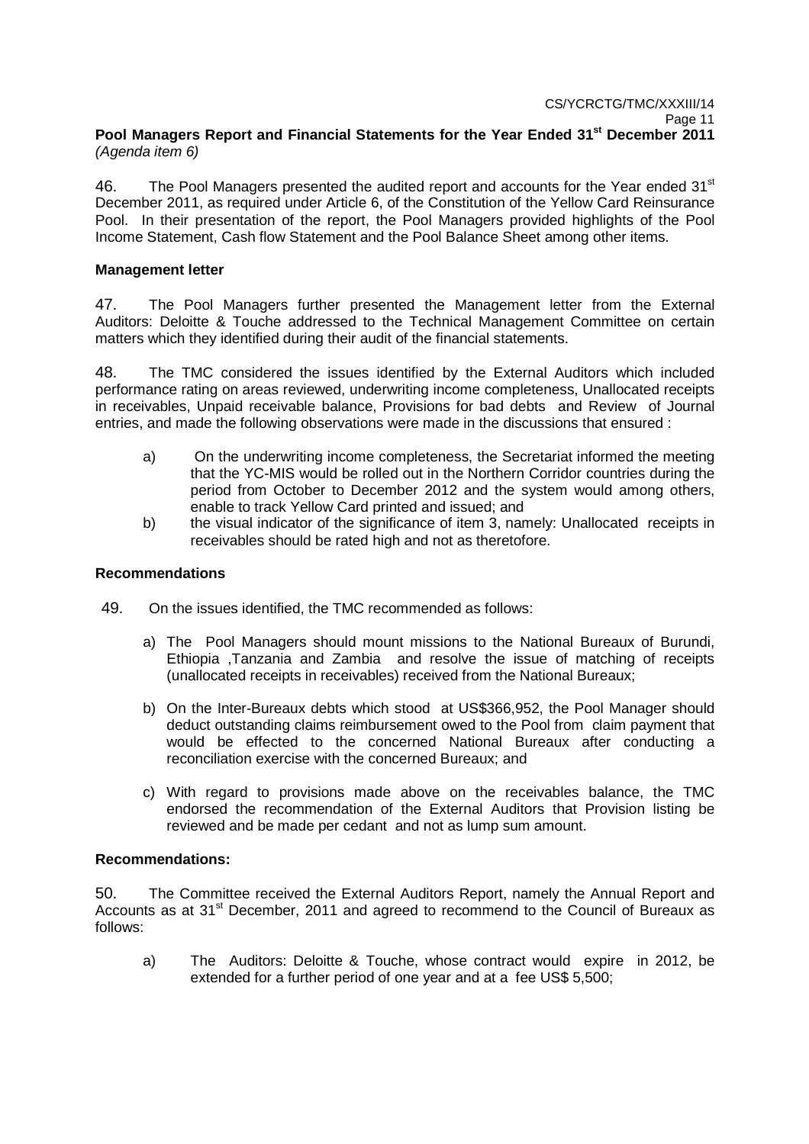# **Pool Managers Report and Financial Statements for the Year Ended 31st December 2011**  (Agenda item 6)

46. The Pool Managers presented the audited report and accounts for the Year ended 31<sup>st</sup> December 2011, as required under Article 6, of the Constitution of the Yellow Card Reinsurance Pool. In their presentation of the report, the Pool Managers provided highlights of the Pool Income Statement, Cash flow Statement and the Pool Balance Sheet among other items.

# **Management letter**

47. The Pool Managers further presented the Management letter from the External Auditors: Deloitte & Touche addressed to the Technical Management Committee on certain matters which they identified during their audit of the financial statements.

48. The TMC considered the issues identified by the External Auditors which included performance rating on areas reviewed, underwriting income completeness, Unallocated receipts in receivables, Unpaid receivable balance, Provisions for bad debts and Review of Journal entries, and made the following observations were made in the discussions that ensured :

- a) On the underwriting income completeness, the Secretariat informed the meeting that the YC-MIS would be rolled out in the Northern Corridor countries during the period from October to December 2012 and the system would among others, enable to track Yellow Card printed and issued; and
- b) the visual indicator of the significance of item 3, namely: Unallocated receipts in receivables should be rated high and not as theretofore.

# **Recommendations**

- 49. On the issues identified, the TMC recommended as follows:
	- a) The Pool Managers should mount missions to the National Bureaux of Burundi, Ethiopia ,Tanzania and Zambia and resolve the issue of matching of receipts (unallocated receipts in receivables) received from the National Bureaux;
	- b) On the Inter-Bureaux debts which stood at US\$366,952, the Pool Manager should deduct outstanding claims reimbursement owed to the Pool from claim payment that would be effected to the concerned National Bureaux after conducting a reconciliation exercise with the concerned Bureaux; and
	- c) With regard to provisions made above on the receivables balance, the TMC endorsed the recommendation of the External Auditors that Provision listing be reviewed and be made per cedant and not as lump sum amount.

#### **Recommendations:**

50. The Committee received the External Auditors Report, namely the Annual Report and Accounts as at 31<sup>st</sup> December, 2011 and agreed to recommend to the Council of Bureaux as follows:

a) The Auditors: Deloitte & Touche, whose contract would expire in 2012, be extended for a further period of one year and at a fee US\$ 5,500;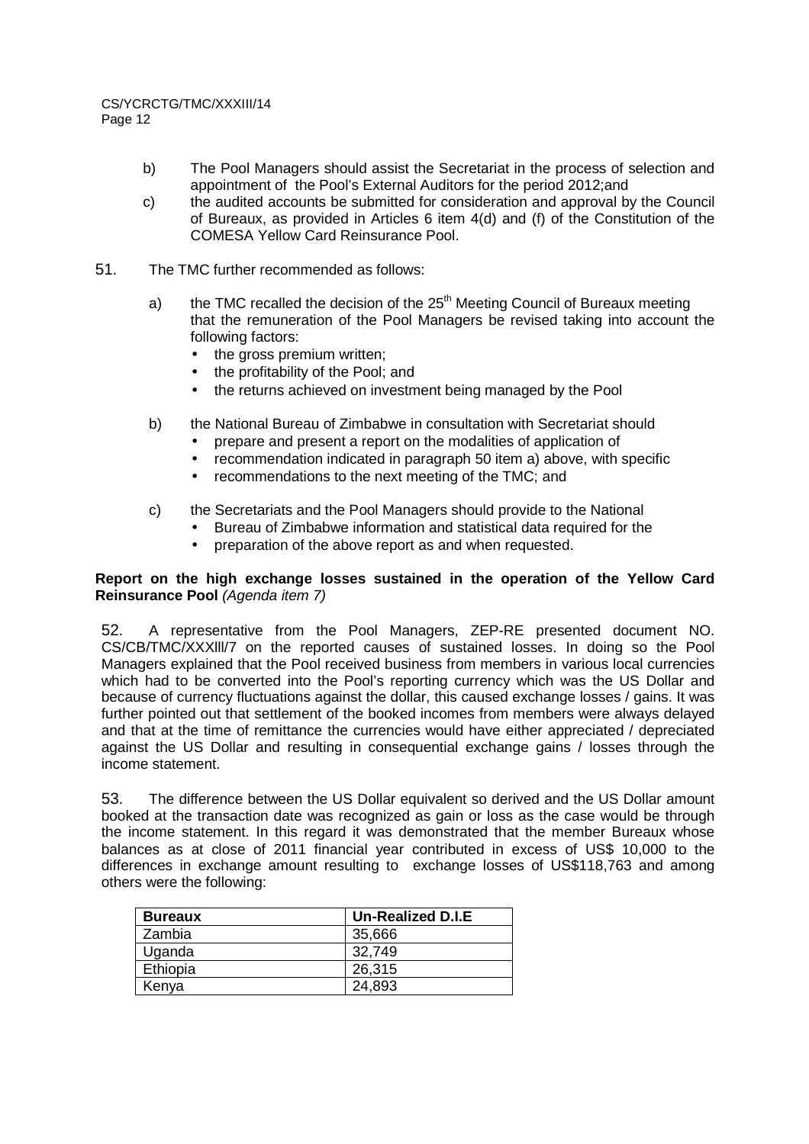- b) The Pool Managers should assist the Secretariat in the process of selection and appointment of the Pool's External Auditors for the period 2012;and
- c) the audited accounts be submitted for consideration and approval by the Council of Bureaux, as provided in Articles 6 item 4(d) and (f) of the Constitution of the COMESA Yellow Card Reinsurance Pool.
- 51. The TMC further recommended as follows:
	- a) the TMC recalled the decision of the  $25<sup>th</sup>$  Meeting Council of Bureaux meeting that the remuneration of the Pool Managers be revised taking into account the following factors:
		- the gross premium written:
		- the profitability of the Pool; and
		- the returns achieved on investment being managed by the Pool
	- b) the National Bureau of Zimbabwe in consultation with Secretariat should
		- prepare and present a report on the modalities of application of
		- recommendation indicated in paragraph 50 item a) above, with specific
		- recommendations to the next meeting of the TMC; and
	- c) the Secretariats and the Pool Managers should provide to the National
		- Bureau of Zimbabwe information and statistical data required for the
		- preparation of the above report as and when requested.

# **Report on the high exchange losses sustained in the operation of the Yellow Card Reinsurance Pool** (Agenda item 7)

52. A representative from the Pool Managers, ZEP-RE presented document NO. CS/CB/TMC/XXXlll/7 on the reported causes of sustained losses. In doing so the Pool Managers explained that the Pool received business from members in various local currencies which had to be converted into the Pool's reporting currency which was the US Dollar and because of currency fluctuations against the dollar, this caused exchange losses / gains. It was further pointed out that settlement of the booked incomes from members were always delayed and that at the time of remittance the currencies would have either appreciated / depreciated against the US Dollar and resulting in consequential exchange gains / losses through the income statement.

53. The difference between the US Dollar equivalent so derived and the US Dollar amount booked at the transaction date was recognized as gain or loss as the case would be through the income statement. In this regard it was demonstrated that the member Bureaux whose balances as at close of 2011 financial year contributed in excess of US\$ 10,000 to the differences in exchange amount resulting to exchange losses of US\$118,763 and among others were the following:

| <b>Bureaux</b> | <b>Un-Realized D.I.E</b> |
|----------------|--------------------------|
| Zambia         | 35,666                   |
| Uganda         | 32.749                   |
| Ethiopia       | 26,315                   |
| Kenya          | 24,893                   |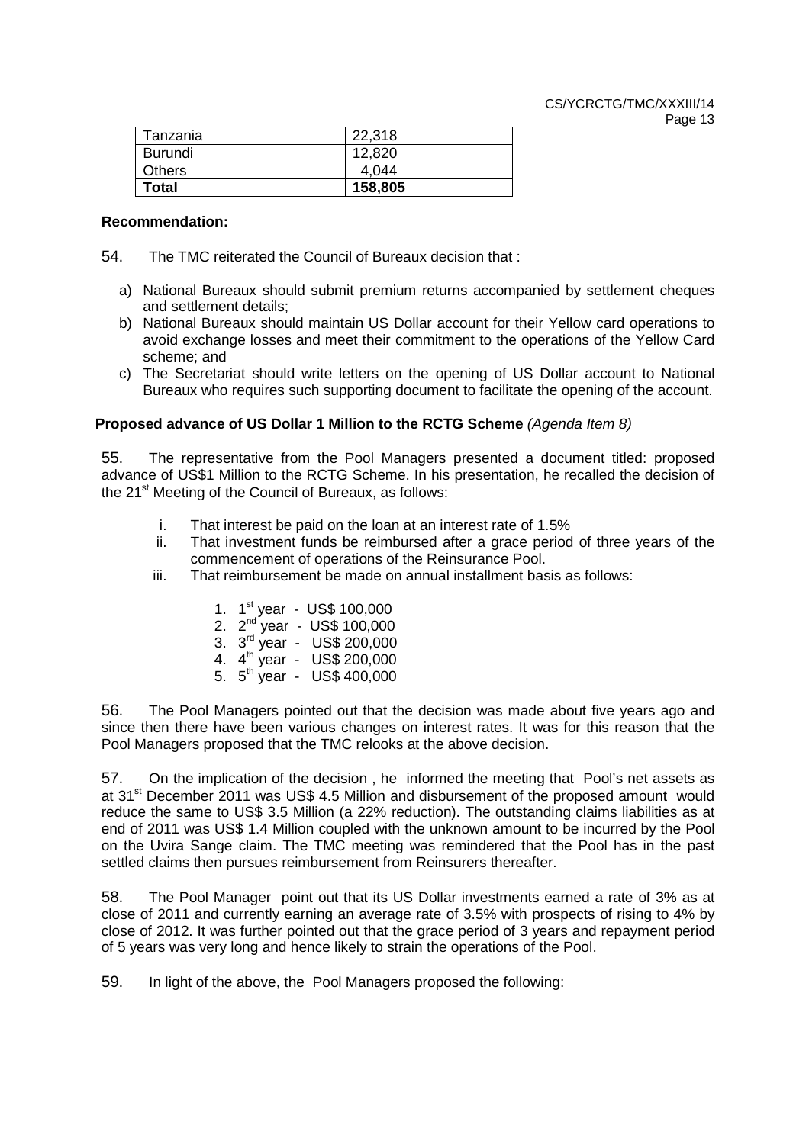| Tanzania      | 22,318  |
|---------------|---------|
| Burundi       | 12,820  |
| <b>Others</b> | 4.044   |
| <b>Total</b>  | 158,805 |

#### **Recommendation:**

- 54. The TMC reiterated the Council of Bureaux decision that :
	- a) National Bureaux should submit premium returns accompanied by settlement cheques and settlement details;
	- b) National Bureaux should maintain US Dollar account for their Yellow card operations to avoid exchange losses and meet their commitment to the operations of the Yellow Card scheme; and
	- c) The Secretariat should write letters on the opening of US Dollar account to National Bureaux who requires such supporting document to facilitate the opening of the account.

# **Proposed advance of US Dollar 1 Million to the RCTG Scheme** (Agenda Item 8)

55. The representative from the Pool Managers presented a document titled: proposed advance of US\$1 Million to the RCTG Scheme. In his presentation, he recalled the decision of the  $21^{st}$  Meeting of the Council of Bureaux, as follows:

- i. That interest be paid on the loan at an interest rate of 1.5%
- ii. That investment funds be reimbursed after a grace period of three years of the commencement of operations of the Reinsurance Pool.
- iii. That reimbursement be made on annual installment basis as follows:
	- 1. 1st year US\$ 100,000
	- 2. 2<sup>nd</sup> year US\$ 100,000
	- 3. 3rd year US\$ 200,000
	- 4. 4th year US\$ 200,000
	- 5. 5th year US\$ 400,000

56. The Pool Managers pointed out that the decision was made about five years ago and since then there have been various changes on interest rates. It was for this reason that the Pool Managers proposed that the TMC relooks at the above decision.

57. On the implication of the decision , he informed the meeting that Pool's net assets as at 31<sup>st</sup> December 2011 was US\$ 4.5 Million and disbursement of the proposed amount would reduce the same to US\$ 3.5 Million (a 22% reduction). The outstanding claims liabilities as at end of 2011 was US\$ 1.4 Million coupled with the unknown amount to be incurred by the Pool on the Uvira Sange claim. The TMC meeting was remindered that the Pool has in the past settled claims then pursues reimbursement from Reinsurers thereafter.

58. The Pool Manager point out that its US Dollar investments earned a rate of 3% as at close of 2011 and currently earning an average rate of 3.5% with prospects of rising to 4% by close of 2012. It was further pointed out that the grace period of 3 years and repayment period of 5 years was very long and hence likely to strain the operations of the Pool.

59. In light of the above, the Pool Managers proposed the following: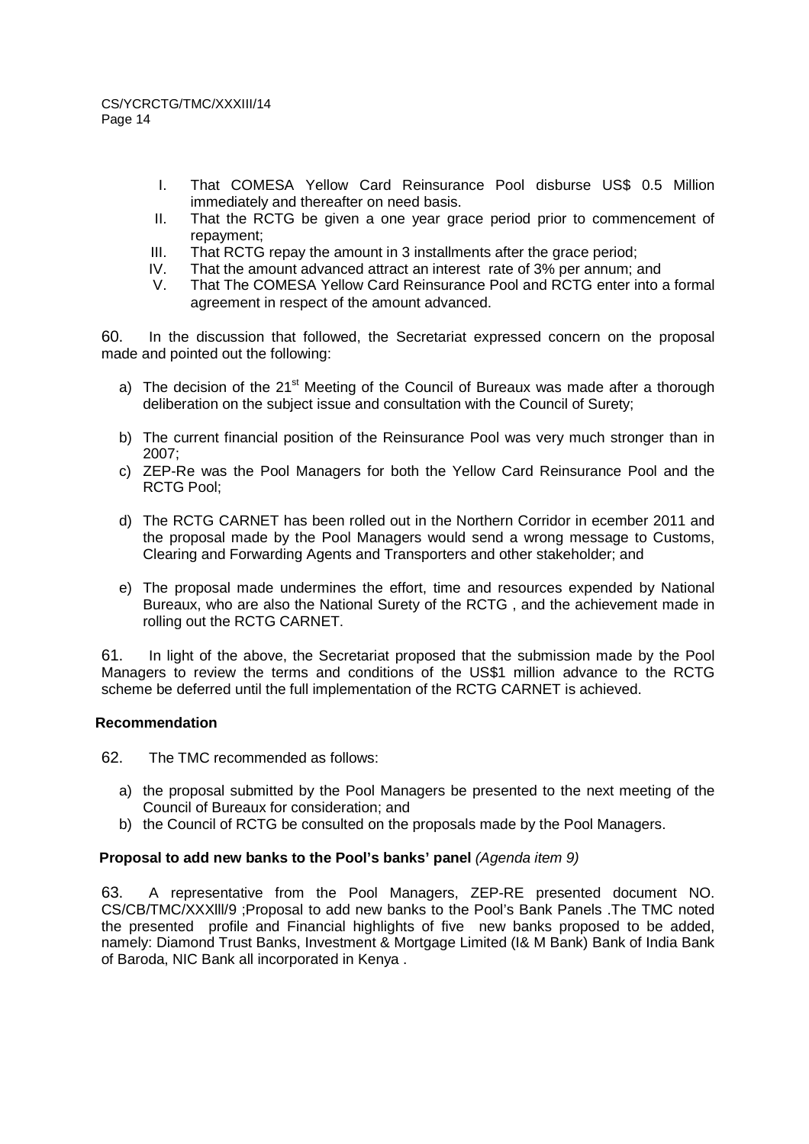- I. That COMESA Yellow Card Reinsurance Pool disburse US\$ 0.5 Million immediately and thereafter on need basis.
- II. That the RCTG be given a one year grace period prior to commencement of repayment;
- III. That RCTG repay the amount in 3 installments after the grace period;
- IV. That the amount advanced attract an interest rate of 3% per annum; and
- V. That The COMESA Yellow Card Reinsurance Pool and RCTG enter into a formal agreement in respect of the amount advanced.

60. In the discussion that followed, the Secretariat expressed concern on the proposal made and pointed out the following:

- a) The decision of the  $21<sup>st</sup>$  Meeting of the Council of Bureaux was made after a thorough deliberation on the subject issue and consultation with the Council of Surety;
- b) The current financial position of the Reinsurance Pool was very much stronger than in 2007;
- c) ZEP-Re was the Pool Managers for both the Yellow Card Reinsurance Pool and the RCTG Pool;
- d) The RCTG CARNET has been rolled out in the Northern Corridor in ecember 2011 and the proposal made by the Pool Managers would send a wrong message to Customs, Clearing and Forwarding Agents and Transporters and other stakeholder; and
- e) The proposal made undermines the effort, time and resources expended by National Bureaux, who are also the National Surety of the RCTG , and the achievement made in rolling out the RCTG CARNET.

61. In light of the above, the Secretariat proposed that the submission made by the Pool Managers to review the terms and conditions of the US\$1 million advance to the RCTG scheme be deferred until the full implementation of the RCTG CARNET is achieved.

#### **Recommendation**

62. The TMC recommended as follows:

- a) the proposal submitted by the Pool Managers be presented to the next meeting of the Council of Bureaux for consideration; and
- b) the Council of RCTG be consulted on the proposals made by the Pool Managers.

#### **Proposal to add new banks to the Pool's banks' panel** (Agenda item 9)

63. A representative from the Pool Managers, ZEP-RE presented document NO. CS/CB/TMC/XXXlll/9 ;Proposal to add new banks to the Pool's Bank Panels .The TMC noted the presented profile and Financial highlights of five new banks proposed to be added, namely: Diamond Trust Banks, Investment & Mortgage Limited (I& M Bank) Bank of India Bank of Baroda, NIC Bank all incorporated in Kenya .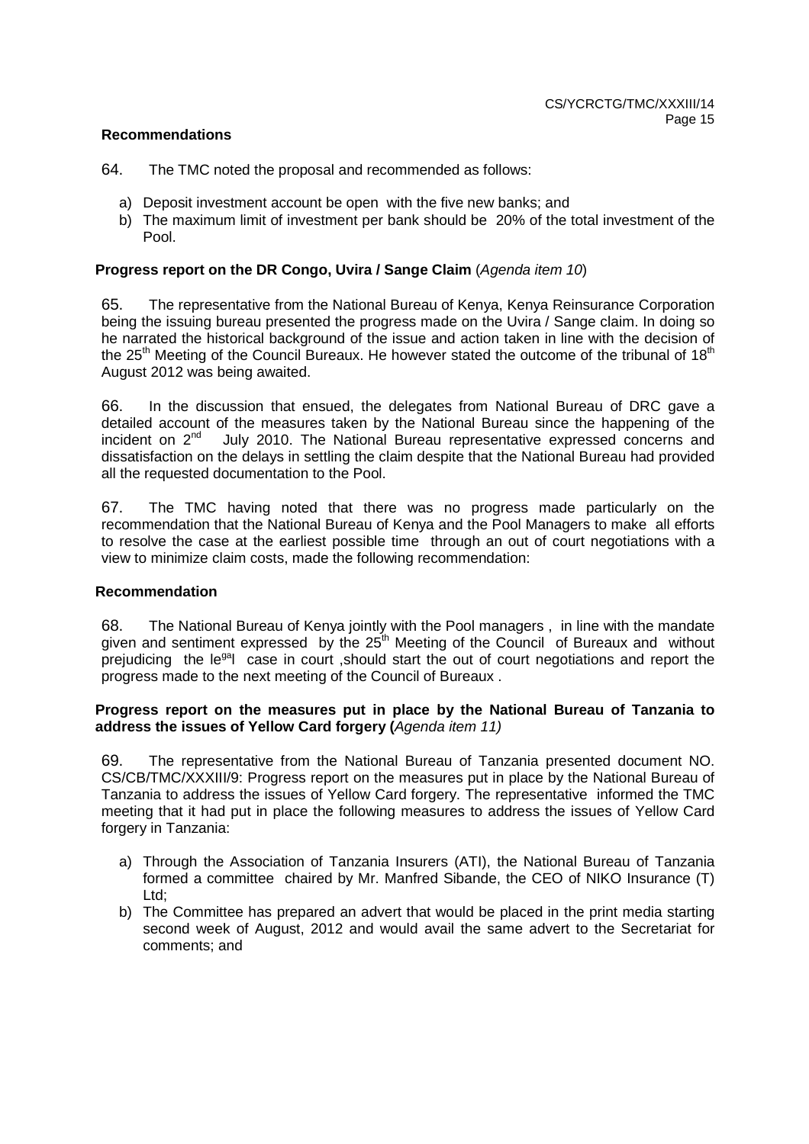# **Recommendations**

- 64. The TMC noted the proposal and recommended as follows:
	- a) Deposit investment account be open with the five new banks; and
	- b) The maximum limit of investment per bank should be 20% of the total investment of the Pool.

# **Progress report on the DR Congo, Uvira / Sange Claim** (Agenda item 10)

65. The representative from the National Bureau of Kenya, Kenya Reinsurance Corporation being the issuing bureau presented the progress made on the Uvira / Sange claim. In doing so he narrated the historical background of the issue and action taken in line with the decision of the  $25<sup>th</sup>$  Meeting of the Council Bureaux. He however stated the outcome of the tribunal of 18<sup>th</sup> August 2012 was being awaited.

66. In the discussion that ensued, the delegates from National Bureau of DRC gave a detailed account of the measures taken by the National Bureau since the happening of the incident on  $2^{nd}$  July 2010. The National Bureau representative expressed concerns and July 2010. The National Bureau representative expressed concerns and dissatisfaction on the delays in settling the claim despite that the National Bureau had provided all the requested documentation to the Pool.

67. The TMC having noted that there was no progress made particularly on the recommendation that the National Bureau of Kenya and the Pool Managers to make all efforts to resolve the case at the earliest possible time through an out of court negotiations with a view to minimize claim costs, made the following recommendation:

#### **Recommendation**

68. The National Bureau of Kenya jointly with the Pool managers , in line with the mandate given and sentiment expressed by the  $25<sup>th</sup>$  Meeting of the Council of Bureaux and without prejudicing the le<sup>ga</sup>l case in court , should start the out of court negotiations and report the progress made to the next meeting of the Council of Bureaux .

#### **Progress report on the measures put in place by the National Bureau of Tanzania to address the issues of Yellow Card forgery (**Agenda item 11)

69. The representative from the National Bureau of Tanzania presented document NO. CS/CB/TMC/XXXIII/9: Progress report on the measures put in place by the National Bureau of Tanzania to address the issues of Yellow Card forgery. The representative informed the TMC meeting that it had put in place the following measures to address the issues of Yellow Card forgery in Tanzania:

- a) Through the Association of Tanzania Insurers (ATI), the National Bureau of Tanzania formed a committee chaired by Mr. Manfred Sibande, the CEO of NIKO Insurance (T) Ltd;
- b) The Committee has prepared an advert that would be placed in the print media starting second week of August, 2012 and would avail the same advert to the Secretariat for comments; and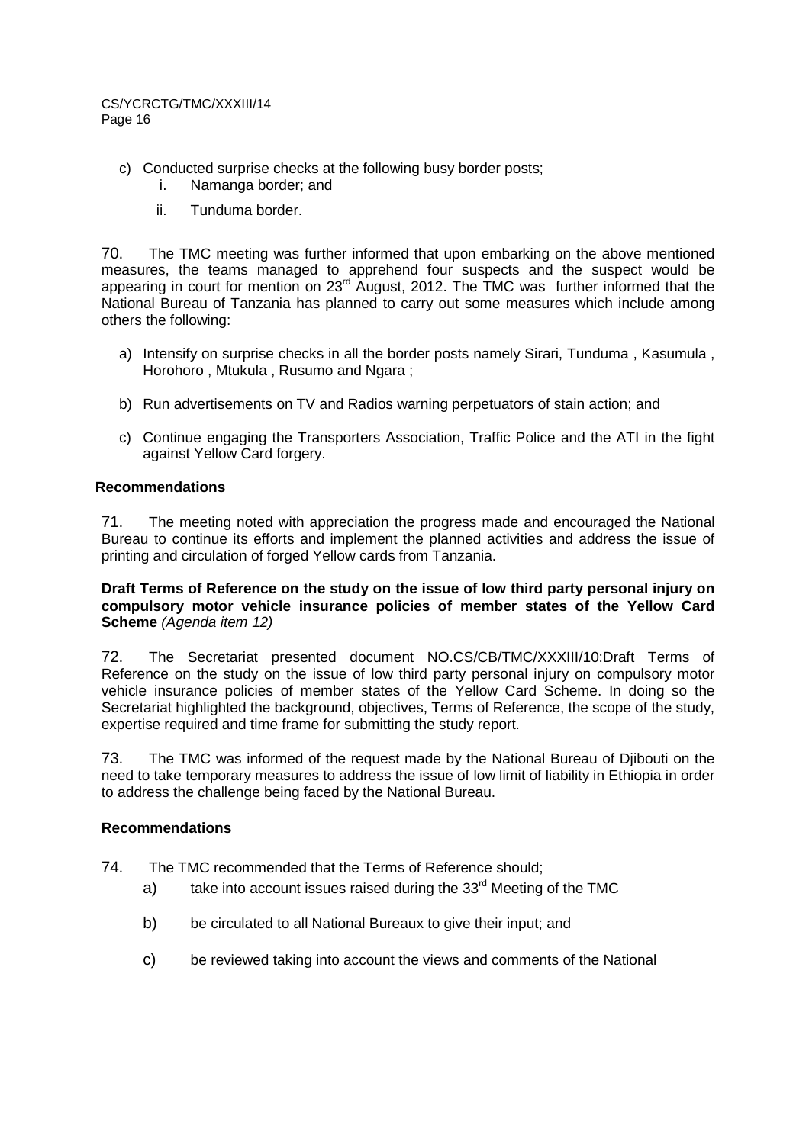- c) Conducted surprise checks at the following busy border posts;
	- i. Namanga border; and
	- ii. Tunduma border.

70. The TMC meeting was further informed that upon embarking on the above mentioned measures, the teams managed to apprehend four suspects and the suspect would be appearing in court for mention on 23<sup>rd</sup> August, 2012. The TMC was further informed that the National Bureau of Tanzania has planned to carry out some measures which include among others the following:

- a) Intensify on surprise checks in all the border posts namely Sirari, Tunduma , Kasumula , Horohoro , Mtukula , Rusumo and Ngara ;
- b) Run advertisements on TV and Radios warning perpetuators of stain action; and
- c) Continue engaging the Transporters Association, Traffic Police and the ATI in the fight against Yellow Card forgery.

# **Recommendations**

71. The meeting noted with appreciation the progress made and encouraged the National Bureau to continue its efforts and implement the planned activities and address the issue of printing and circulation of forged Yellow cards from Tanzania.

## **Draft Terms of Reference on the study on the issue of low third party personal injury on compulsory motor vehicle insurance policies of member states of the Yellow Card Scheme** (Agenda item 12)

72. The Secretariat presented document NO.CS/CB/TMC/XXXIII/10:Draft Terms of Reference on the study on the issue of low third party personal injury on compulsory motor vehicle insurance policies of member states of the Yellow Card Scheme. In doing so the Secretariat highlighted the background, objectives, Terms of Reference, the scope of the study, expertise required and time frame for submitting the study report.

73. The TMC was informed of the request made by the National Bureau of Djibouti on the need to take temporary measures to address the issue of low limit of liability in Ethiopia in order to address the challenge being faced by the National Bureau.

# **Recommendations**

- 74. The TMC recommended that the Terms of Reference should;
	- a) take into account issues raised during the  $33<sup>rd</sup>$  Meeting of the TMC
	- b) be circulated to all National Bureaux to give their input: and
	- c) be reviewed taking into account the views and comments of the National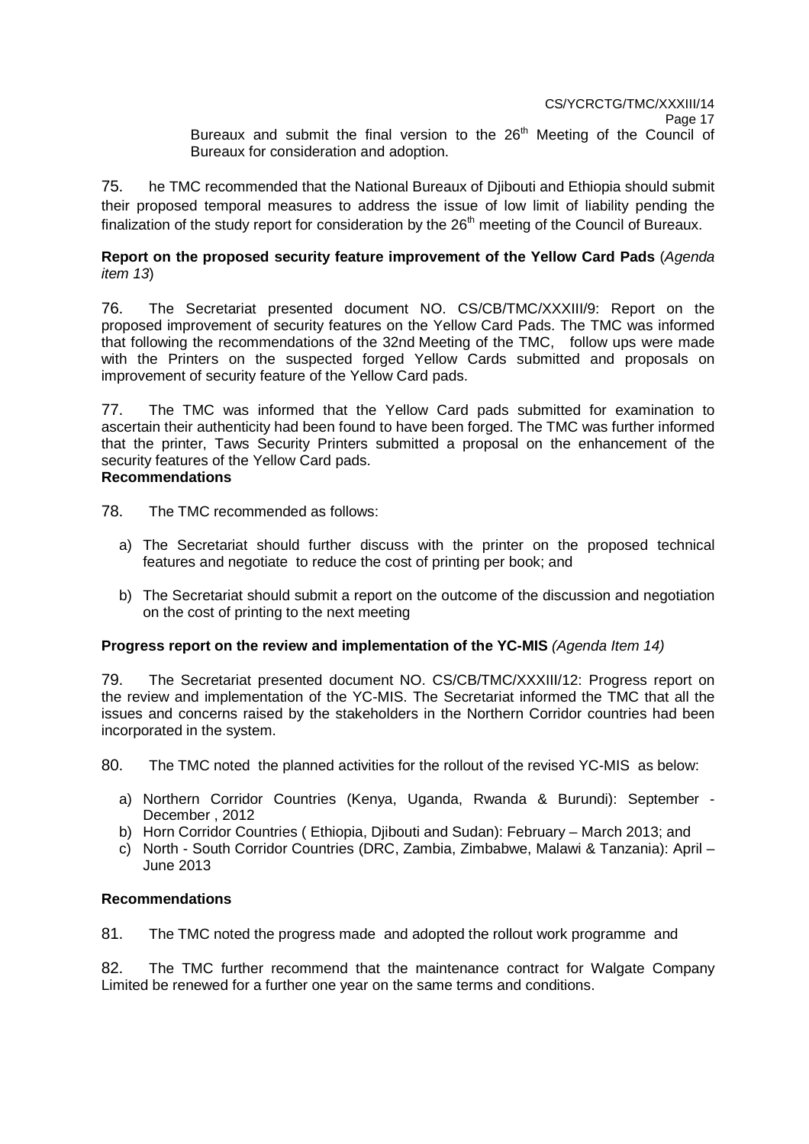75. he TMC recommended that the National Bureaux of Djibouti and Ethiopia should submit their proposed temporal measures to address the issue of low limit of liability pending the finalization of the study report for consideration by the  $26<sup>th</sup>$  meeting of the Council of Bureaux.

# **Report on the proposed security feature improvement of the Yellow Card Pads** (Agenda item 13)

76. The Secretariat presented document NO. CS/CB/TMC/XXXIII/9: Report on the proposed improvement of security features on the Yellow Card Pads. The TMC was informed that following the recommendations of the 32nd Meeting of the TMC, follow ups were made with the Printers on the suspected forged Yellow Cards submitted and proposals on improvement of security feature of the Yellow Card pads.

77. The TMC was informed that the Yellow Card pads submitted for examination to ascertain their authenticity had been found to have been forged. The TMC was further informed that the printer, Taws Security Printers submitted a proposal on the enhancement of the security features of the Yellow Card pads. **Recommendations** 

- 78. The TMC recommended as follows:
	- a) The Secretariat should further discuss with the printer on the proposed technical features and negotiate to reduce the cost of printing per book; and
	- b) The Secretariat should submit a report on the outcome of the discussion and negotiation on the cost of printing to the next meeting

# **Progress report on the review and implementation of the YC-MIS** (Agenda Item 14)

79. The Secretariat presented document NO. CS/CB/TMC/XXXIII/12: Progress report on the review and implementation of the YC-MIS. The Secretariat informed the TMC that all the issues and concerns raised by the stakeholders in the Northern Corridor countries had been incorporated in the system.

80. The TMC noted the planned activities for the rollout of the revised YC-MIS as below:

- a) Northern Corridor Countries (Kenya, Uganda, Rwanda & Burundi): September December , 2012
- b) Horn Corridor Countries ( Ethiopia, Djibouti and Sudan): February March 2013; and
- c) North South Corridor Countries (DRC, Zambia, Zimbabwe, Malawi & Tanzania): April June 2013

#### **Recommendations**

81. The TMC noted the progress made and adopted the rollout work programme and

82. The TMC further recommend that the maintenance contract for Walgate Company Limited be renewed for a further one year on the same terms and conditions.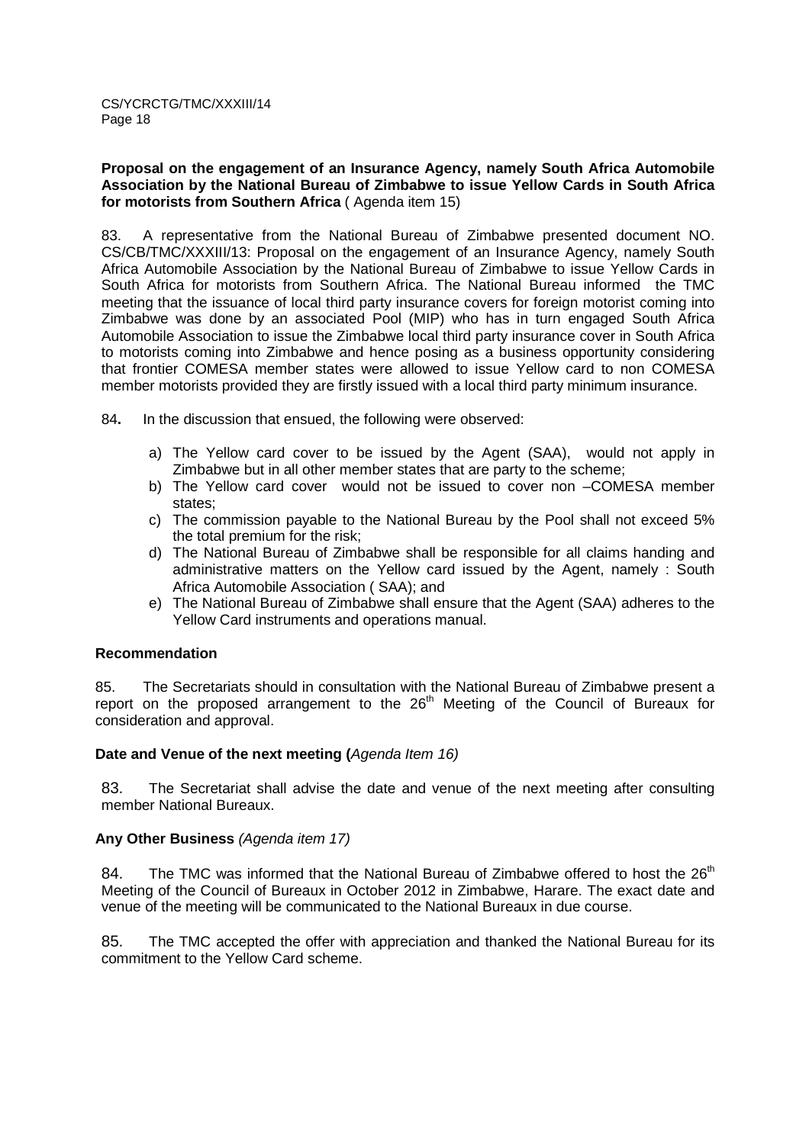## **Proposal on the engagement of an Insurance Agency, namely South Africa Automobile Association by the National Bureau of Zimbabwe to issue Yellow Cards in South Africa for motorists from Southern Africa** ( Agenda item 15)

83. A representative from the National Bureau of Zimbabwe presented document NO. CS/CB/TMC/XXXIII/13: Proposal on the engagement of an Insurance Agency, namely South Africa Automobile Association by the National Bureau of Zimbabwe to issue Yellow Cards in South Africa for motorists from Southern Africa. The National Bureau informedthe TMC meeting that the issuance of local third party insurance covers for foreign motorist coming into Zimbabwe was done by an associated Pool (MIP) who has in turn engaged South Africa Automobile Association to issue the Zimbabwe local third party insurance cover in South Africa to motorists coming into Zimbabwe and hence posing as a business opportunity considering that frontier COMESA member states were allowed to issue Yellow card to non COMESA member motorists provided they are firstly issued with a local third party minimum insurance.

84**.** In the discussion that ensued, the following were observed:

- a) The Yellow card cover to be issued by the Agent (SAA), would not apply in Zimbabwe but in all other member states that are party to the scheme;
- b) The Yellow card cover would not be issued to cover non –COMESA member states;
- c) The commission payable to the National Bureau by the Pool shall not exceed 5% the total premium for the risk;
- d) The National Bureau of Zimbabwe shall be responsible for all claims handing and administrative matters on the Yellow card issued by the Agent, namely : South Africa Automobile Association ( SAA); and
- e) The National Bureau of Zimbabwe shall ensure that the Agent (SAA) adheres to the Yellow Card instruments and operations manual.

#### **Recommendation**

85. The Secretariats should in consultation with the National Bureau of Zimbabwe present a report on the proposed arrangement to the 26<sup>th</sup> Meeting of the Council of Bureaux for consideration and approval.

#### **Date and Venue of the next meeting (**Agenda Item 16)

83. The Secretariat shall advise the date and venue of the next meeting after consulting member National Bureaux.

#### **Any Other Business** (Agenda item 17)

84. The TMC was informed that the National Bureau of Zimbabwe offered to host the  $26<sup>th</sup>$ Meeting of the Council of Bureaux in October 2012 in Zimbabwe, Harare. The exact date and venue of the meeting will be communicated to the National Bureaux in due course.

85. The TMC accepted the offer with appreciation and thanked the National Bureau for its commitment to the Yellow Card scheme.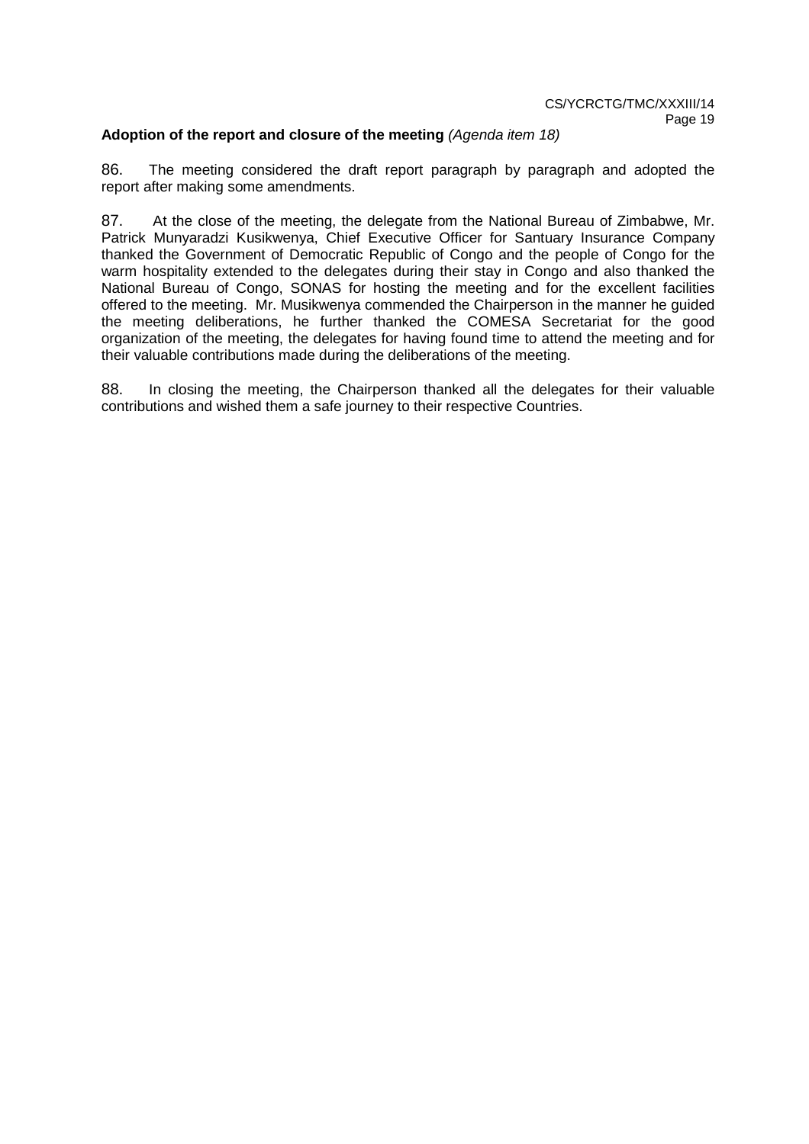# Adoption of the report and closure of the meeting (Agenda item 18)

86. The meeting considered the draft report paragraph by paragraph and adopted the report after making some amendments.

87. At the close of the meeting, the delegate from the National Bureau of Zimbabwe, Mr. Patrick Munyaradzi Kusikwenya, Chief Executive Officer for Santuary Insurance Company thanked the Government of Democratic Republic of Congo and the people of Congo for the warm hospitality extended to the delegates during their stay in Congo and also thanked the National Bureau of Congo, SONAS for hosting the meeting and for the excellent facilities offered to the meeting. Mr. Musikwenya commended the Chairperson in the manner he guided the meeting deliberations, he further thanked the COMESA Secretariat for the good organization of the meeting, the delegates for having found time to attend the meeting and for their valuable contributions made during the deliberations of the meeting.

88. In closing the meeting, the Chairperson thanked all the delegates for their valuable contributions and wished them a safe journey to their respective Countries.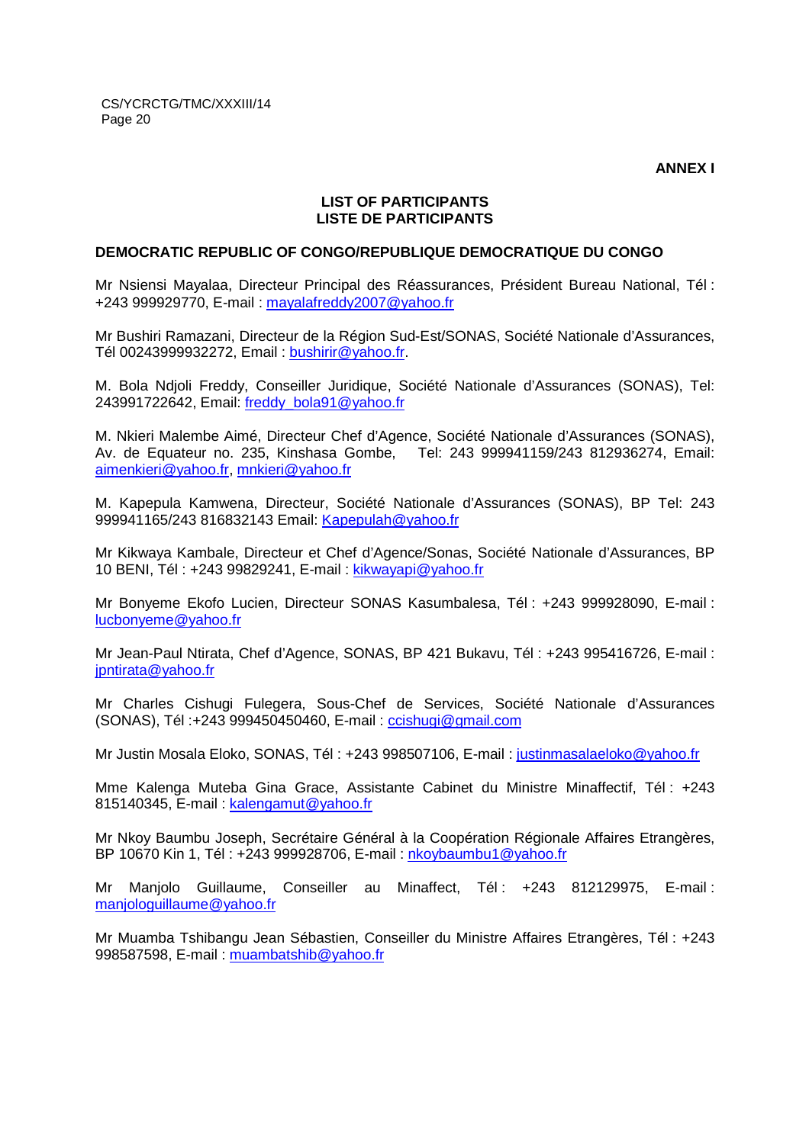**ANNEX I** 

# **LIST OF PARTICIPANTS LISTE DE PARTICIPANTS**

#### **DEMOCRATIC REPUBLIC OF CONGO/REPUBLIQUE DEMOCRATIQUE DU CONGO**

Mr Nsiensi Mayalaa, Directeur Principal des Réassurances, Président Bureau National, Tél : +243 999929770, E-mail : mayalafreddy2007@yahoo.fr

Mr Bushiri Ramazani, Directeur de la Région Sud-Est/SONAS, Société Nationale d'Assurances, Tél 00243999932272, Email : bushirir@yahoo.fr.

M. Bola Ndjoli Freddy, Conseiller Juridique, Société Nationale d'Assurances (SONAS), Tel: 243991722642, Email: freddy\_bola91@yahoo.fr

M. Nkieri Malembe Aimé, Directeur Chef d'Agence, Société Nationale d'Assurances (SONAS), Av. de Equateur no. 235, Kinshasa Gombe, Tel: 243 999941159/243 812936274, Email: aimenkieri@yahoo.fr, mnkieri@yahoo.fr

M. Kapepula Kamwena, Directeur, Société Nationale d'Assurances (SONAS), BP Tel: 243 999941165/243 816832143 Email: Kapepulah@yahoo.fr

Mr Kikwaya Kambale, Directeur et Chef d'Agence/Sonas, Société Nationale d'Assurances, BP 10 BENI, Tél : +243 99829241, E-mail : kikwayapi@yahoo.fr

Mr Bonyeme Ekofo Lucien, Directeur SONAS Kasumbalesa, Tél : +243 999928090, E-mail : lucbonyeme@yahoo.fr

Mr Jean-Paul Ntirata, Chef d'Agence, SONAS, BP 421 Bukavu, Tél : +243 995416726, E-mail : jpntirata@yahoo.fr

Mr Charles Cishugi Fulegera, Sous-Chef de Services, Société Nationale d'Assurances (SONAS), Tél :+243 999450450460, E-mail : ccishugi@gmail.com

Mr Justin Mosala Eloko, SONAS, Tél : +243 998507106, E-mail : justinmasalaeloko@yahoo.fr

Mme Kalenga Muteba Gina Grace, Assistante Cabinet du Ministre Minaffectif, Tél : +243 815140345, E-mail : kalengamut@yahoo.fr

Mr Nkoy Baumbu Joseph, Secrétaire Général à la Coopération Régionale Affaires Etrangères, BP 10670 Kin 1, Tél : +243 999928706, E-mail : nkoybaumbu1@yahoo.fr

Mr Manjolo Guillaume, Conseiller au Minaffect, Tél : +243 812129975, E-mail : manjologuillaume@yahoo.fr

Mr Muamba Tshibangu Jean Sébastien, Conseiller du Ministre Affaires Etrangères, Tél : +243 998587598, E-mail : muambatshib@yahoo.fr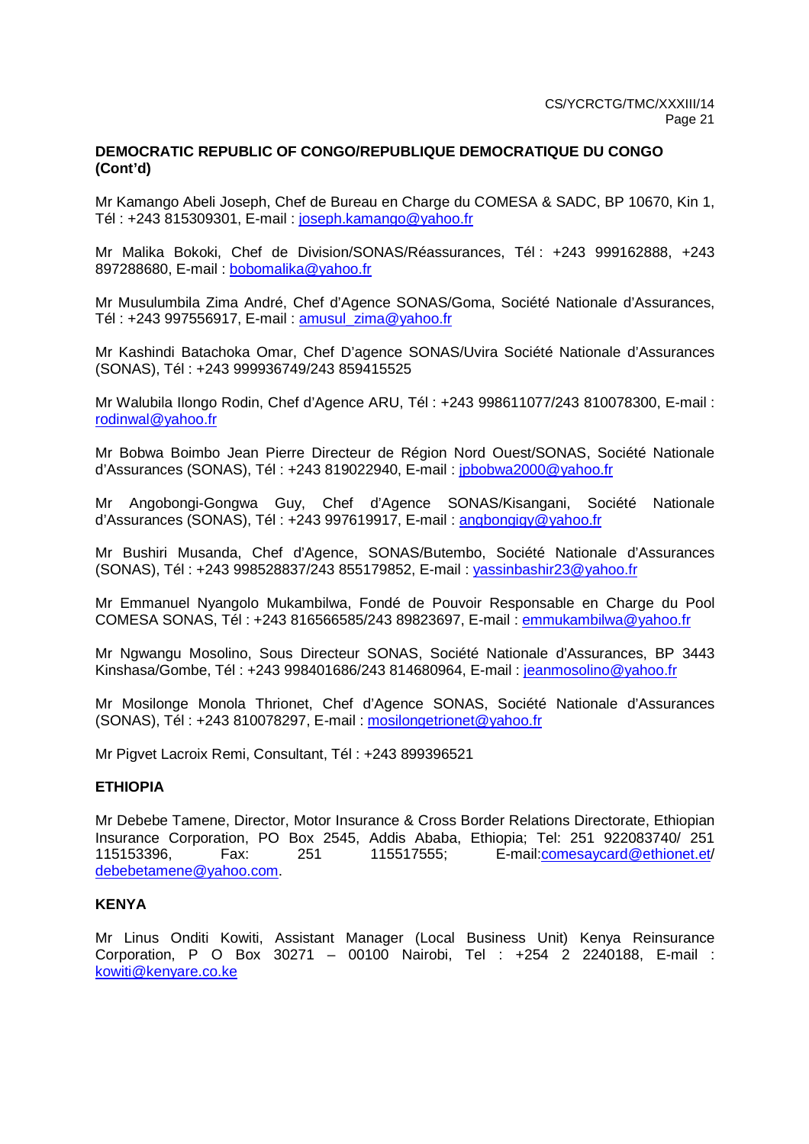## **DEMOCRATIC REPUBLIC OF CONGO/REPUBLIQUE DEMOCRATIQUE DU CONGO (Cont'd)**

Mr Kamango Abeli Joseph, Chef de Bureau en Charge du COMESA & SADC, BP 10670, Kin 1, Tél : +243 815309301, E-mail : joseph.kamango@yahoo.fr

Mr Malika Bokoki, Chef de Division/SONAS/Réassurances, Tél : +243 999162888, +243 897288680, E-mail : bobomalika@yahoo.fr

Mr Musulumbila Zima André, Chef d'Agence SONAS/Goma, Société Nationale d'Assurances, Tél : +243 997556917, E-mail : amusul\_zima@yahoo.fr

Mr Kashindi Batachoka Omar, Chef D'agence SONAS/Uvira Société Nationale d'Assurances (SONAS), Tél : +243 999936749/243 859415525

Mr Walubila Ilongo Rodin, Chef d'Agence ARU, Tél : +243 998611077/243 810078300, E-mail : rodinwal@yahoo.fr

Mr Bobwa Boimbo Jean Pierre Directeur de Région Nord Ouest/SONAS, Société Nationale d'Assurances (SONAS), Tél : +243 819022940, E-mail : jpbobwa2000@yahoo.fr

Mr Angobongi-Gongwa Guy, Chef d'Agence SONAS/Kisangani, Société Nationale d'Assurances (SONAS), Tél : +243 997619917, E-mail : angbongigy@yahoo.fr

Mr Bushiri Musanda, Chef d'Agence, SONAS/Butembo, Société Nationale d'Assurances (SONAS), Tél : +243 998528837/243 855179852, E-mail : yassinbashir23@yahoo.fr

Mr Emmanuel Nyangolo Mukambilwa, Fondé de Pouvoir Responsable en Charge du Pool COMESA SONAS, Tél : +243 816566585/243 89823697, E-mail : emmukambilwa@yahoo.fr

Mr Ngwangu Mosolino, Sous Directeur SONAS, Société Nationale d'Assurances, BP 3443 Kinshasa/Gombe, Tél : +243 998401686/243 814680964, E-mail : jeanmosolino@yahoo.fr

Mr Mosilonge Monola Thrionet, Chef d'Agence SONAS, Société Nationale d'Assurances (SONAS), Tél : +243 810078297, E-mail : mosilongetrionet@yahoo.fr

Mr Pigvet Lacroix Remi, Consultant, Tél : +243 899396521

#### **ETHIOPIA**

Mr Debebe Tamene, Director, Motor Insurance & Cross Border Relations Directorate, Ethiopian Insurance Corporation, PO Box 2545, Addis Ababa, Ethiopia; Tel: 251 922083740/ 251 115153396, Fax: 251 115517555; E-mail:comesaycard@ethionet.et/ debebetamene@yahoo.com.

#### **KENYA**

Mr Linus Onditi Kowiti, Assistant Manager (Local Business Unit) Kenya Reinsurance Corporation, P O Box 30271 – 00100 Nairobi, Tel : +254 2 2240188, E-mail : kowiti@kenyare.co.ke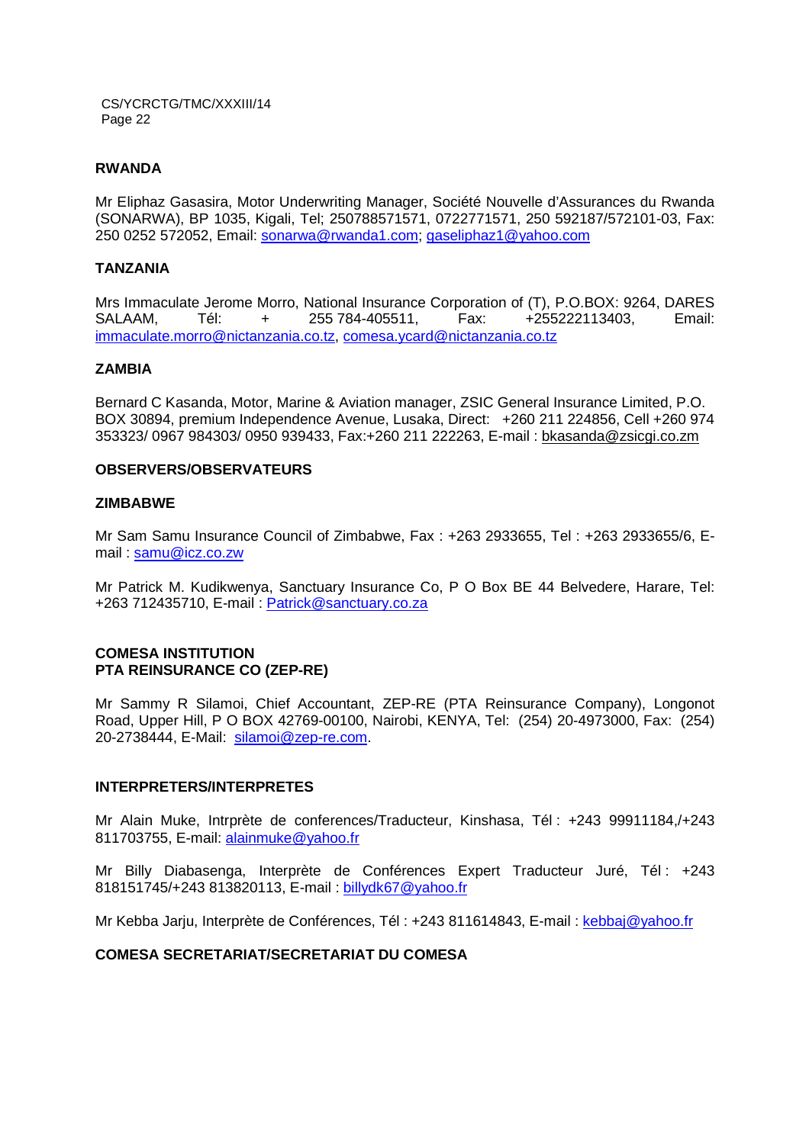#### **RWANDA**

Mr Eliphaz Gasasira, Motor Underwriting Manager, Société Nouvelle d'Assurances du Rwanda (SONARWA), BP 1035, Kigali, Tel; 250788571571, 0722771571, 250 592187/572101-03, Fax: 250 0252 572052, Email: sonarwa@rwanda1.com; gaseliphaz1@yahoo.com

#### **TANZANIA**

Mrs Immaculate Jerome Morro, National Insurance Corporation of (T), P.O.BOX: 9264, DARES SALAAM, Tél: + 255 784-405511, Fax: +255222113403, Email: immaculate.morro@nictanzania.co.tz, comesa.ycard@nictanzania.co.tz

#### **ZAMBIA**

Bernard C Kasanda, Motor, Marine & Aviation manager, ZSIC General Insurance Limited, P.O. BOX 30894, premium Independence Avenue, Lusaka, Direct: +260 211 224856, Cell +260 974 353323/ 0967 984303/ 0950 939433, Fax:+260 211 222263, E-mail : bkasanda@zsicgi.co.zm

#### **OBSERVERS/OBSERVATEURS**

#### **ZIMBABWE**

Mr Sam Samu Insurance Council of Zimbabwe, Fax : +263 2933655, Tel : +263 2933655/6, Email : samu@icz.co.zw

Mr Patrick M. Kudikwenya, Sanctuary Insurance Co, P O Box BE 44 Belvedere, Harare, Tel: +263 712435710, E-mail : Patrick@sanctuary.co.za

#### **COMESA INSTITUTION PTA REINSURANCE CO (ZEP-RE)**

Mr Sammy R Silamoi, Chief Accountant, ZEP-RE (PTA Reinsurance Company), Longonot Road, Upper Hill, P O BOX 42769-00100, Nairobi, KENYA, Tel: (254) 20-4973000, Fax: (254) 20-2738444, E-Mail: silamoi@zep-re.com.

#### **INTERPRETERS/INTERPRETES**

Mr Alain Muke, Intrprète de conferences/Traducteur, Kinshasa, Tél : +243 99911184,/+243 811703755, E-mail: alainmuke@yahoo.fr

Mr Billy Diabasenga, Interprète de Conférences Expert Traducteur Juré, Tél : +243 818151745/+243 813820113, E-mail : billydk67@yahoo.fr

Mr Kebba Jarju, Interprète de Conférences, Tél : +243 811614843, E-mail : kebbaj@yahoo.fr

#### **COMESA SECRETARIAT/SECRETARIAT DU COMESA**